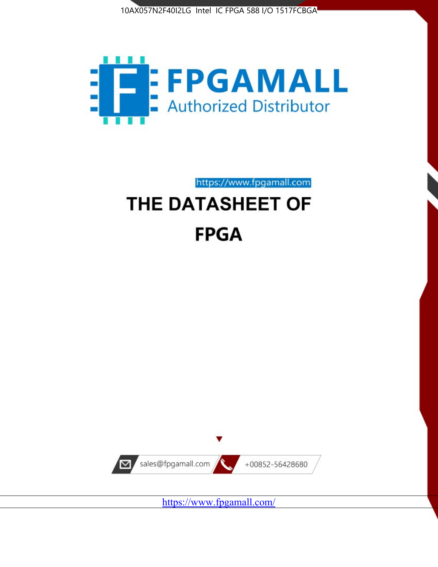



https://www.fpgamall.com

# THE DATASHEET OF **FPGA**



<https://www.fpgamall.com/>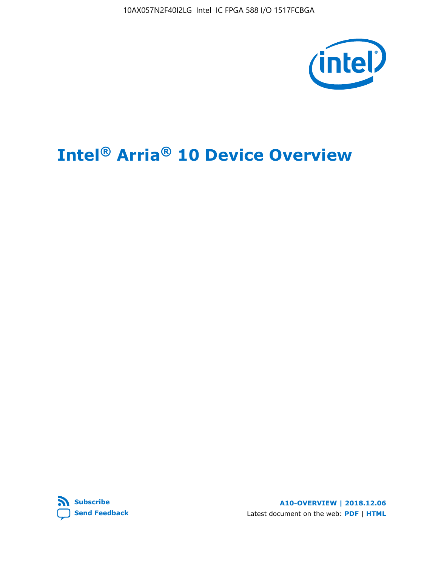10AX057N2F40I2LG Intel IC FPGA 588 I/O 1517FCBGA



# **Intel® Arria® 10 Device Overview**



**A10-OVERVIEW | 2018.12.06** Latest document on the web: **[PDF](https://www.intel.com/content/dam/www/programmable/us/en/pdfs/literature/hb/arria-10/a10_overview.pdf)** | **[HTML](https://www.intel.com/content/www/us/en/programmable/documentation/sam1403480274650.html)**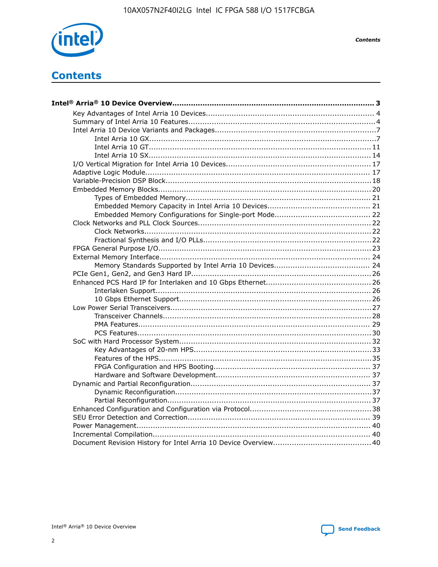

**Contents** 

# **Contents**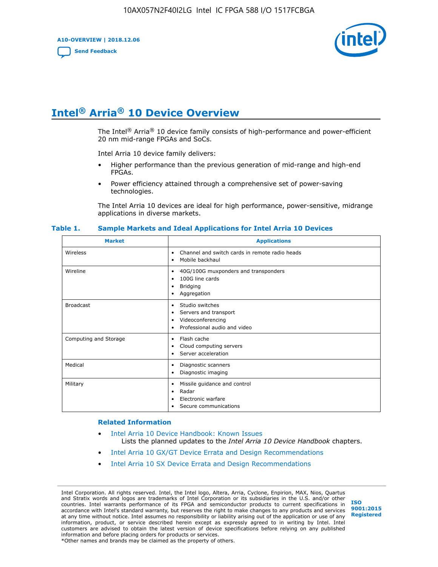**A10-OVERVIEW | 2018.12.06**

**[Send Feedback](mailto:FPGAtechdocfeedback@intel.com?subject=Feedback%20on%20Intel%20Arria%2010%20Device%20Overview%20(A10-OVERVIEW%202018.12.06)&body=We%20appreciate%20your%20feedback.%20In%20your%20comments,%20also%20specify%20the%20page%20number%20or%20paragraph.%20Thank%20you.)**



# **Intel® Arria® 10 Device Overview**

The Intel<sup>®</sup> Arria<sup>®</sup> 10 device family consists of high-performance and power-efficient 20 nm mid-range FPGAs and SoCs.

Intel Arria 10 device family delivers:

- Higher performance than the previous generation of mid-range and high-end FPGAs.
- Power efficiency attained through a comprehensive set of power-saving technologies.

The Intel Arria 10 devices are ideal for high performance, power-sensitive, midrange applications in diverse markets.

| <b>Market</b>         | <b>Applications</b>                                                                                               |
|-----------------------|-------------------------------------------------------------------------------------------------------------------|
| Wireless              | Channel and switch cards in remote radio heads<br>٠<br>Mobile backhaul<br>٠                                       |
| Wireline              | 40G/100G muxponders and transponders<br>٠<br>100G line cards<br>٠<br><b>Bridging</b><br>٠<br>Aggregation<br>٠     |
| <b>Broadcast</b>      | Studio switches<br>٠<br>Servers and transport<br>٠<br>Videoconferencing<br>٠<br>Professional audio and video<br>٠ |
| Computing and Storage | Flash cache<br>٠<br>Cloud computing servers<br>٠<br>Server acceleration<br>٠                                      |
| Medical               | Diagnostic scanners<br>٠<br>Diagnostic imaging<br>٠                                                               |
| Military              | Missile guidance and control<br>٠<br>Radar<br>٠<br>Electronic warfare<br>٠<br>Secure communications<br>٠          |

#### **Table 1. Sample Markets and Ideal Applications for Intel Arria 10 Devices**

#### **Related Information**

- [Intel Arria 10 Device Handbook: Known Issues](http://www.altera.com/support/kdb/solutions/rd07302013_646.html) Lists the planned updates to the *Intel Arria 10 Device Handbook* chapters.
- [Intel Arria 10 GX/GT Device Errata and Design Recommendations](https://www.intel.com/content/www/us/en/programmable/documentation/agz1493851706374.html#yqz1494433888646)
- [Intel Arria 10 SX Device Errata and Design Recommendations](https://www.intel.com/content/www/us/en/programmable/documentation/cru1462832385668.html#cru1462832558642)

Intel Corporation. All rights reserved. Intel, the Intel logo, Altera, Arria, Cyclone, Enpirion, MAX, Nios, Quartus and Stratix words and logos are trademarks of Intel Corporation or its subsidiaries in the U.S. and/or other countries. Intel warrants performance of its FPGA and semiconductor products to current specifications in accordance with Intel's standard warranty, but reserves the right to make changes to any products and services at any time without notice. Intel assumes no responsibility or liability arising out of the application or use of any information, product, or service described herein except as expressly agreed to in writing by Intel. Intel customers are advised to obtain the latest version of device specifications before relying on any published information and before placing orders for products or services. \*Other names and brands may be claimed as the property of others.

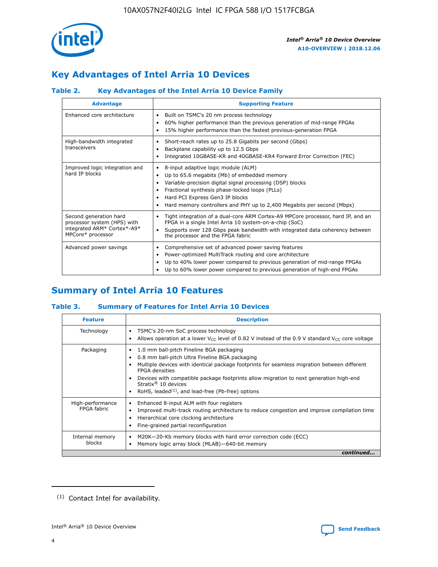

# **Key Advantages of Intel Arria 10 Devices**

# **Table 2. Key Advantages of the Intel Arria 10 Device Family**

| <b>Advantage</b>                                                                                          | <b>Supporting Feature</b>                                                                                                                                                                                                                                                                                                |
|-----------------------------------------------------------------------------------------------------------|--------------------------------------------------------------------------------------------------------------------------------------------------------------------------------------------------------------------------------------------------------------------------------------------------------------------------|
| Enhanced core architecture                                                                                | Built on TSMC's 20 nm process technology<br>٠<br>60% higher performance than the previous generation of mid-range FPGAs<br>٠<br>15% higher performance than the fastest previous-generation FPGA<br>٠                                                                                                                    |
| High-bandwidth integrated<br>transceivers                                                                 | Short-reach rates up to 25.8 Gigabits per second (Gbps)<br>٠<br>Backplane capability up to 12.5 Gbps<br>٠<br>Integrated 10GBASE-KR and 40GBASE-KR4 Forward Error Correction (FEC)<br>٠                                                                                                                                   |
| Improved logic integration and<br>hard IP blocks                                                          | 8-input adaptive logic module (ALM)<br>٠<br>Up to 65.6 megabits (Mb) of embedded memory<br>٠<br>Variable-precision digital signal processing (DSP) blocks<br>Fractional synthesis phase-locked loops (PLLs)<br>Hard PCI Express Gen3 IP blocks<br>Hard memory controllers and PHY up to 2,400 Megabits per second (Mbps) |
| Second generation hard<br>processor system (HPS) with<br>integrated ARM* Cortex*-A9*<br>MPCore* processor | Tight integration of a dual-core ARM Cortex-A9 MPCore processor, hard IP, and an<br>٠<br>FPGA in a single Intel Arria 10 system-on-a-chip (SoC)<br>Supports over 128 Gbps peak bandwidth with integrated data coherency between<br>$\bullet$<br>the processor and the FPGA fabric                                        |
| Advanced power savings                                                                                    | Comprehensive set of advanced power saving features<br>٠<br>Power-optimized MultiTrack routing and core architecture<br>٠<br>Up to 40% lower power compared to previous generation of mid-range FPGAs<br>Up to 60% lower power compared to previous generation of high-end FPGAs                                         |

# **Summary of Intel Arria 10 Features**

## **Table 3. Summary of Features for Intel Arria 10 Devices**

| <b>Feature</b>                  | <b>Description</b>                                                                                                                                                                                                                                                                                                                                                                                           |
|---------------------------------|--------------------------------------------------------------------------------------------------------------------------------------------------------------------------------------------------------------------------------------------------------------------------------------------------------------------------------------------------------------------------------------------------------------|
| Technology                      | TSMC's 20-nm SoC process technology<br>Allows operation at a lower $V_{\text{CC}}$ level of 0.82 V instead of the 0.9 V standard $V_{\text{CC}}$ core voltage                                                                                                                                                                                                                                                |
| Packaging                       | 1.0 mm ball-pitch Fineline BGA packaging<br>٠<br>0.8 mm ball-pitch Ultra Fineline BGA packaging<br>Multiple devices with identical package footprints for seamless migration between different<br><b>FPGA</b> densities<br>Devices with compatible package footprints allow migration to next generation high-end<br>Stratix <sup>®</sup> 10 devices<br>RoHS, leaded $(1)$ , and lead-free (Pb-free) options |
| High-performance<br>FPGA fabric | Enhanced 8-input ALM with four registers<br>Improved multi-track routing architecture to reduce congestion and improve compilation time<br>Hierarchical core clocking architecture<br>Fine-grained partial reconfiguration                                                                                                                                                                                   |
| Internal memory<br>blocks       | M20K-20-Kb memory blocks with hard error correction code (ECC)<br>Memory logic array block (MLAB)-640-bit memory                                                                                                                                                                                                                                                                                             |
|                                 | continued                                                                                                                                                                                                                                                                                                                                                                                                    |



<sup>(1)</sup> Contact Intel for availability.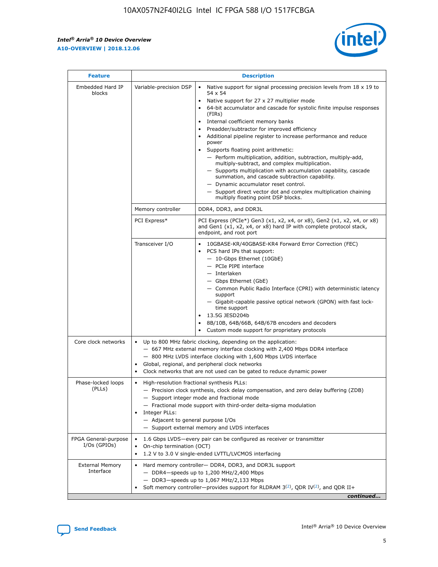r



| <b>Feature</b>                         |                                                                                                                                                                                                                                                                               | <b>Description</b>                                                                                                                                                                                                                                                                                                                                                                                                                                                                                                                                                                                                                                                                                                                                                                                                                                                            |  |  |  |  |
|----------------------------------------|-------------------------------------------------------------------------------------------------------------------------------------------------------------------------------------------------------------------------------------------------------------------------------|-------------------------------------------------------------------------------------------------------------------------------------------------------------------------------------------------------------------------------------------------------------------------------------------------------------------------------------------------------------------------------------------------------------------------------------------------------------------------------------------------------------------------------------------------------------------------------------------------------------------------------------------------------------------------------------------------------------------------------------------------------------------------------------------------------------------------------------------------------------------------------|--|--|--|--|
| Embedded Hard IP<br>blocks             | Variable-precision DSP                                                                                                                                                                                                                                                        | Native support for signal processing precision levels from $18 \times 19$ to<br>$\bullet$<br>54 x 54<br>Native support for 27 x 27 multiplier mode<br>$\bullet$<br>64-bit accumulator and cascade for systolic finite impulse responses<br>$\bullet$<br>(FIRs)<br>Internal coefficient memory banks<br>$\bullet$<br>Preadder/subtractor for improved efficiency<br>Additional pipeline register to increase performance and reduce<br>power<br>Supports floating point arithmetic:<br>- Perform multiplication, addition, subtraction, multiply-add,<br>multiply-subtract, and complex multiplication.<br>- Supports multiplication with accumulation capability, cascade<br>summation, and cascade subtraction capability.<br>- Dynamic accumulator reset control.<br>- Support direct vector dot and complex multiplication chaining<br>multiply floating point DSP blocks. |  |  |  |  |
|                                        | Memory controller                                                                                                                                                                                                                                                             | DDR4, DDR3, and DDR3L                                                                                                                                                                                                                                                                                                                                                                                                                                                                                                                                                                                                                                                                                                                                                                                                                                                         |  |  |  |  |
|                                        | PCI Express*                                                                                                                                                                                                                                                                  | PCI Express (PCIe*) Gen3 (x1, x2, x4, or x8), Gen2 (x1, x2, x4, or x8)<br>and Gen1 (x1, x2, x4, or x8) hard IP with complete protocol stack,<br>endpoint, and root port                                                                                                                                                                                                                                                                                                                                                                                                                                                                                                                                                                                                                                                                                                       |  |  |  |  |
|                                        | Transceiver I/O                                                                                                                                                                                                                                                               | 10GBASE-KR/40GBASE-KR4 Forward Error Correction (FEC)<br>PCS hard IPs that support:<br>٠<br>- 10-Gbps Ethernet (10GbE)<br>- PCIe PIPE interface<br>- Interlaken<br>- Gbps Ethernet (GbE)<br>- Common Public Radio Interface (CPRI) with deterministic latency<br>support<br>- Gigabit-capable passive optical network (GPON) with fast lock-<br>time support<br>13.5G JESD204b<br>$\bullet$<br>8B/10B, 64B/66B, 64B/67B encoders and decoders<br>$\bullet$<br>Custom mode support for proprietary protocols                                                                                                                                                                                                                                                                                                                                                                   |  |  |  |  |
| Core clock networks                    | $\bullet$                                                                                                                                                                                                                                                                     | Up to 800 MHz fabric clocking, depending on the application:<br>- 667 MHz external memory interface clocking with 2,400 Mbps DDR4 interface<br>- 800 MHz LVDS interface clocking with 1,600 Mbps LVDS interface<br>Global, regional, and peripheral clock networks<br>Clock networks that are not used can be gated to reduce dynamic power                                                                                                                                                                                                                                                                                                                                                                                                                                                                                                                                   |  |  |  |  |
| Phase-locked loops<br>(PLLs)           | High-resolution fractional synthesis PLLs:<br>٠<br>Integer PLLs:<br>- Adjacent to general purpose I/Os                                                                                                                                                                        | - Precision clock synthesis, clock delay compensation, and zero delay buffering (ZDB)<br>- Support integer mode and fractional mode<br>- Fractional mode support with third-order delta-sigma modulation<br>- Support external memory and LVDS interfaces                                                                                                                                                                                                                                                                                                                                                                                                                                                                                                                                                                                                                     |  |  |  |  |
| FPGA General-purpose<br>$I/Os$ (GPIOs) | On-chip termination (OCT)<br>٠                                                                                                                                                                                                                                                | 1.6 Gbps LVDS-every pair can be configured as receiver or transmitter<br>1.2 V to 3.0 V single-ended LVTTL/LVCMOS interfacing                                                                                                                                                                                                                                                                                                                                                                                                                                                                                                                                                                                                                                                                                                                                                 |  |  |  |  |
| <b>External Memory</b><br>Interface    | Hard memory controller- DDR4, DDR3, and DDR3L support<br>$\bullet$<br>$-$ DDR4 $-$ speeds up to 1,200 MHz/2,400 Mbps<br>- DDR3-speeds up to 1,067 MHz/2,133 Mbps<br>Soft memory controller—provides support for RLDRAM $3^{(2)}$ , QDR IV $^{(2)}$ , and QDR II+<br>continued |                                                                                                                                                                                                                                                                                                                                                                                                                                                                                                                                                                                                                                                                                                                                                                                                                                                                               |  |  |  |  |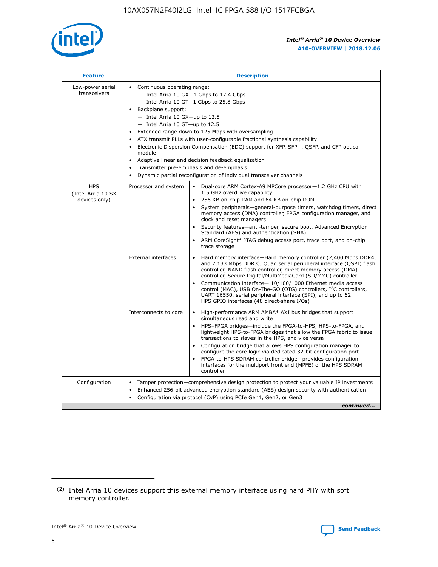

| <b>Feature</b>                                    | <b>Description</b>                                                                                                                                                                                                                                                                                                                                                                                                                                                                                                                                                                                                                                    |  |  |  |  |  |  |  |
|---------------------------------------------------|-------------------------------------------------------------------------------------------------------------------------------------------------------------------------------------------------------------------------------------------------------------------------------------------------------------------------------------------------------------------------------------------------------------------------------------------------------------------------------------------------------------------------------------------------------------------------------------------------------------------------------------------------------|--|--|--|--|--|--|--|
| Low-power serial<br>transceivers                  | • Continuous operating range:<br>- Intel Arria 10 GX-1 Gbps to 17.4 Gbps<br>- Intel Arria 10 GT-1 Gbps to 25.8 Gbps<br>Backplane support:<br>$-$ Intel Arria 10 GX-up to 12.5<br>- Intel Arria 10 GT-up to 12.5<br>Extended range down to 125 Mbps with oversampling<br>ATX transmit PLLs with user-configurable fractional synthesis capability<br>Electronic Dispersion Compensation (EDC) support for XFP, SFP+, QSFP, and CFP optical<br>module<br>Adaptive linear and decision feedback equalization<br>$\bullet$<br>Transmitter pre-emphasis and de-emphasis<br>$\bullet$<br>Dynamic partial reconfiguration of individual transceiver channels |  |  |  |  |  |  |  |
| <b>HPS</b><br>(Intel Arria 10 SX<br>devices only) | • Dual-core ARM Cortex-A9 MPCore processor-1.2 GHz CPU with<br>Processor and system<br>1.5 GHz overdrive capability<br>256 KB on-chip RAM and 64 KB on-chip ROM<br>$\bullet$<br>System peripherals—general-purpose timers, watchdog timers, direct<br>memory access (DMA) controller, FPGA configuration manager, and<br>clock and reset managers<br>Security features—anti-tamper, secure boot, Advanced Encryption<br>$\bullet$<br>Standard (AES) and authentication (SHA)<br>ARM CoreSight* JTAG debug access port, trace port, and on-chip<br>$\bullet$<br>trace storage                                                                          |  |  |  |  |  |  |  |
|                                                   | <b>External interfaces</b><br>Hard memory interface-Hard memory controller (2,400 Mbps DDR4,<br>$\bullet$<br>and 2,133 Mbps DDR3), Quad serial peripheral interface (QSPI) flash<br>controller, NAND flash controller, direct memory access (DMA)<br>controller, Secure Digital/MultiMediaCard (SD/MMC) controller<br>Communication interface-10/100/1000 Ethernet media access<br>$\bullet$<br>control (MAC), USB On-The-GO (OTG) controllers, I <sup>2</sup> C controllers,<br>UART 16550, serial peripheral interface (SPI), and up to 62<br>HPS GPIO interfaces (48 direct-share I/Os)                                                            |  |  |  |  |  |  |  |
|                                                   | High-performance ARM AMBA* AXI bus bridges that support<br>Interconnects to core<br>$\bullet$<br>simultaneous read and write<br>HPS-FPGA bridges-include the FPGA-to-HPS, HPS-to-FPGA, and<br>$\bullet$<br>lightweight HPS-to-FPGA bridges that allow the FPGA fabric to issue<br>transactions to slaves in the HPS, and vice versa<br>Configuration bridge that allows HPS configuration manager to<br>configure the core logic via dedicated 32-bit configuration port<br>FPGA-to-HPS SDRAM controller bridge-provides configuration<br>interfaces for the multiport front end (MPFE) of the HPS SDRAM<br>controller                                |  |  |  |  |  |  |  |
| Configuration                                     | Tamper protection—comprehensive design protection to protect your valuable IP investments<br>Enhanced 256-bit advanced encryption standard (AES) design security with authentication<br>٠<br>Configuration via protocol (CvP) using PCIe Gen1, Gen2, or Gen3<br>continued                                                                                                                                                                                                                                                                                                                                                                             |  |  |  |  |  |  |  |

<sup>(2)</sup> Intel Arria 10 devices support this external memory interface using hard PHY with soft memory controller.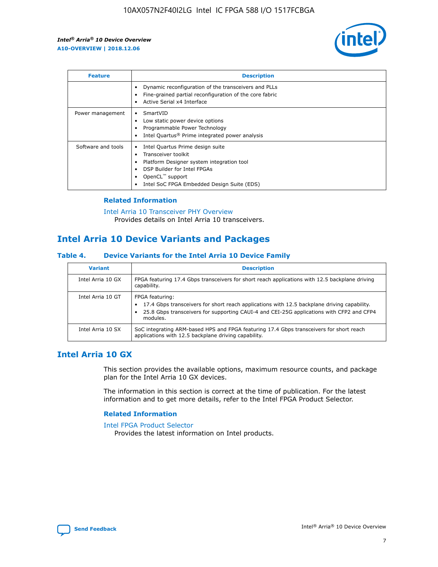

| <b>Feature</b>     | <b>Description</b>                                                                                                                                                                                               |
|--------------------|------------------------------------------------------------------------------------------------------------------------------------------------------------------------------------------------------------------|
|                    | Dynamic reconfiguration of the transceivers and PLLs<br>Fine-grained partial reconfiguration of the core fabric<br>Active Serial x4 Interface<br>$\bullet$                                                       |
| Power management   | SmartVID<br>Low static power device options<br>Programmable Power Technology<br>Intel Quartus <sup>®</sup> Prime integrated power analysis                                                                       |
| Software and tools | Intel Quartus Prime design suite<br>Transceiver toolkit<br>Platform Designer system integration tool<br>DSP Builder for Intel FPGAs<br>OpenCL <sup>™</sup> support<br>Intel SoC FPGA Embedded Design Suite (EDS) |

## **Related Information**

[Intel Arria 10 Transceiver PHY Overview](https://www.intel.com/content/www/us/en/programmable/documentation/nik1398707230472.html#nik1398706768037) Provides details on Intel Arria 10 transceivers.

# **Intel Arria 10 Device Variants and Packages**

#### **Table 4. Device Variants for the Intel Arria 10 Device Family**

| <b>Variant</b>    | <b>Description</b>                                                                                                                                                                                                     |
|-------------------|------------------------------------------------------------------------------------------------------------------------------------------------------------------------------------------------------------------------|
| Intel Arria 10 GX | FPGA featuring 17.4 Gbps transceivers for short reach applications with 12.5 backplane driving<br>capability.                                                                                                          |
| Intel Arria 10 GT | FPGA featuring:<br>17.4 Gbps transceivers for short reach applications with 12.5 backplane driving capability.<br>25.8 Gbps transceivers for supporting CAUI-4 and CEI-25G applications with CFP2 and CFP4<br>modules. |
| Intel Arria 10 SX | SoC integrating ARM-based HPS and FPGA featuring 17.4 Gbps transceivers for short reach<br>applications with 12.5 backplane driving capability.                                                                        |

# **Intel Arria 10 GX**

This section provides the available options, maximum resource counts, and package plan for the Intel Arria 10 GX devices.

The information in this section is correct at the time of publication. For the latest information and to get more details, refer to the Intel FPGA Product Selector.

#### **Related Information**

#### [Intel FPGA Product Selector](http://www.altera.com/products/selector/psg-selector.html) Provides the latest information on Intel products.

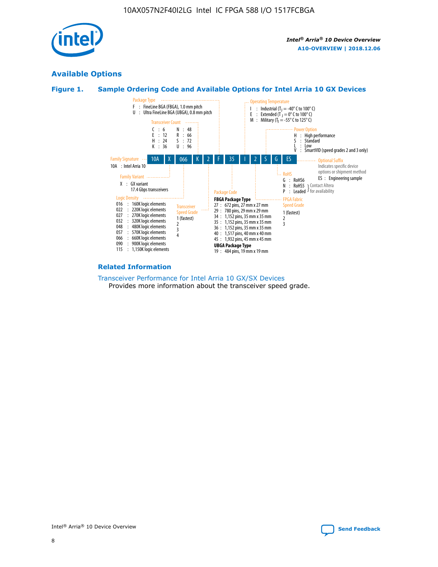

# **Available Options**





#### **Related Information**

[Transceiver Performance for Intel Arria 10 GX/SX Devices](https://www.intel.com/content/www/us/en/programmable/documentation/mcn1413182292568.html#mcn1413213965502) Provides more information about the transceiver speed grade.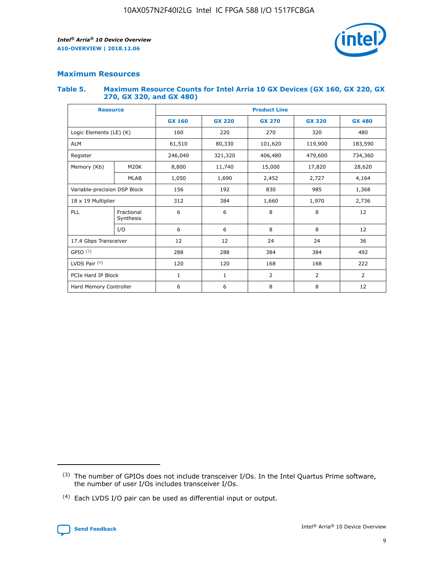

## **Maximum Resources**

#### **Table 5. Maximum Resource Counts for Intel Arria 10 GX Devices (GX 160, GX 220, GX 270, GX 320, and GX 480)**

| <b>Resource</b>              |                         | <b>Product Line</b> |                                                 |                    |                |                |  |  |  |
|------------------------------|-------------------------|---------------------|-------------------------------------------------|--------------------|----------------|----------------|--|--|--|
|                              |                         | <b>GX 160</b>       | <b>GX 220</b><br><b>GX 270</b><br><b>GX 320</b> |                    |                | <b>GX 480</b>  |  |  |  |
| Logic Elements (LE) (K)      |                         | 160                 | 220                                             | 270                | 320            | 480            |  |  |  |
| <b>ALM</b>                   |                         | 61,510              | 80,330                                          | 101,620            | 119,900        | 183,590        |  |  |  |
| Register                     |                         | 246,040             | 321,320                                         | 479,600<br>406,480 |                | 734,360        |  |  |  |
| Memory (Kb)                  | M <sub>20</sub> K       | 8,800               | 11,740                                          | 15,000             | 17,820         | 28,620         |  |  |  |
|                              | <b>MLAB</b>             | 1,050               | 1,690                                           | 2,452              | 2,727          | 4,164          |  |  |  |
| Variable-precision DSP Block |                         | 156                 | 192                                             | 830                | 985            | 1,368          |  |  |  |
| 18 x 19 Multiplier           |                         | 312                 | 384                                             | 1,970<br>1,660     |                | 2,736          |  |  |  |
| PLL                          | Fractional<br>Synthesis | 6                   | 6                                               | 8                  | 8              | 12             |  |  |  |
|                              | I/O                     | 6                   | 6                                               | 8                  | 8              | 12             |  |  |  |
| 17.4 Gbps Transceiver        |                         | 12                  | 12                                              | 24                 | 24             | 36             |  |  |  |
| GPIO <sup>(3)</sup>          |                         | 288                 | 288                                             | 384                | 384            |                |  |  |  |
| LVDS Pair $(4)$              |                         | 120                 | 120                                             | 168                | 168            | 222            |  |  |  |
| PCIe Hard IP Block           |                         | $\mathbf{1}$        | 1                                               | $\overline{2}$     | $\overline{2}$ | $\overline{2}$ |  |  |  |
| Hard Memory Controller       |                         | 6                   | 6                                               | 8                  | 8              | 12             |  |  |  |

<sup>(4)</sup> Each LVDS I/O pair can be used as differential input or output.



<sup>(3)</sup> The number of GPIOs does not include transceiver I/Os. In the Intel Quartus Prime software, the number of user I/Os includes transceiver I/Os.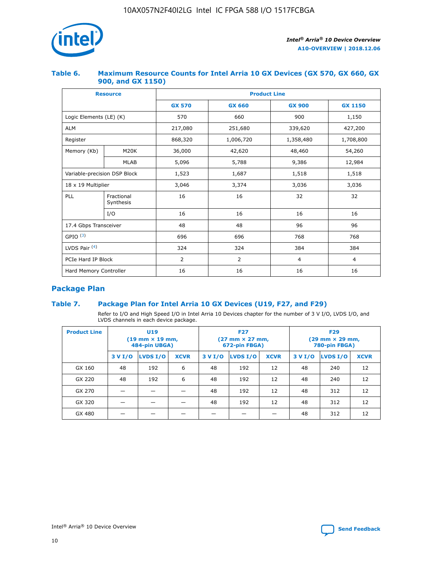

## **Table 6. Maximum Resource Counts for Intel Arria 10 GX Devices (GX 570, GX 660, GX 900, and GX 1150)**

|                              | <b>Resource</b>         | <b>Product Line</b> |                        |                |                |  |  |  |
|------------------------------|-------------------------|---------------------|------------------------|----------------|----------------|--|--|--|
|                              |                         | <b>GX 570</b>       | <b>GX 660</b>          | <b>GX 900</b>  | <b>GX 1150</b> |  |  |  |
| Logic Elements (LE) (K)      |                         | 570                 | 660                    | 900            | 1,150          |  |  |  |
| <b>ALM</b>                   |                         | 217,080             | 251,680                | 339,620        | 427,200        |  |  |  |
| Register                     |                         | 868,320             | 1,006,720<br>1,358,480 |                | 1,708,800      |  |  |  |
| Memory (Kb)                  | <b>M20K</b>             | 36,000              | 42,620                 | 48,460         | 54,260         |  |  |  |
|                              | <b>MLAB</b>             | 5,096               | 5,788                  | 9,386          | 12,984         |  |  |  |
| Variable-precision DSP Block |                         | 1,523               | 1,687                  | 1,518          | 1,518          |  |  |  |
| $18 \times 19$ Multiplier    |                         | 3,046               | 3,374                  | 3,036          | 3,036          |  |  |  |
| PLL                          | Fractional<br>Synthesis | 16                  | 16                     | 32             | 32             |  |  |  |
|                              | I/O                     | 16                  | 16                     | 16             | 16             |  |  |  |
| 17.4 Gbps Transceiver        |                         | 48                  | 48<br>96               |                | 96             |  |  |  |
| GPIO <sup>(3)</sup>          |                         | 696                 | 696                    | 768            | 768            |  |  |  |
| LVDS Pair $(4)$              |                         | 324                 | 324                    | 384            | 384            |  |  |  |
| PCIe Hard IP Block           |                         | 2                   | $\overline{2}$         | $\overline{4}$ | $\overline{4}$ |  |  |  |
| Hard Memory Controller       |                         | 16                  | 16                     | 16             | 16             |  |  |  |

# **Package Plan**

# **Table 7. Package Plan for Intel Arria 10 GX Devices (U19, F27, and F29)**

Refer to I/O and High Speed I/O in Intel Arria 10 Devices chapter for the number of 3 V I/O, LVDS I/O, and LVDS channels in each device package.

| <b>Product Line</b> | U <sub>19</sub><br>$(19 \text{ mm} \times 19 \text{ mm})$<br>484-pin UBGA) |          |             |         | <b>F27</b><br>(27 mm × 27 mm,<br>672-pin FBGA) |             | <b>F29</b><br>(29 mm × 29 mm,<br>780-pin FBGA) |          |             |  |
|---------------------|----------------------------------------------------------------------------|----------|-------------|---------|------------------------------------------------|-------------|------------------------------------------------|----------|-------------|--|
|                     | 3 V I/O                                                                    | LVDS I/O | <b>XCVR</b> | 3 V I/O | LVDS I/O                                       | <b>XCVR</b> | 3 V I/O                                        | LVDS I/O | <b>XCVR</b> |  |
| GX 160              | 48                                                                         | 192      | 6           | 48      | 192                                            | 12          | 48                                             | 240      | 12          |  |
| GX 220              | 48                                                                         | 192      | 6           | 48      | 192                                            | 12          | 48                                             | 240      | 12          |  |
| GX 270              |                                                                            |          |             | 48      | 192                                            | 12          | 48                                             | 312      | 12          |  |
| GX 320              |                                                                            |          |             | 48      | 192                                            | 12          | 48                                             | 312      | 12          |  |
| GX 480              |                                                                            |          |             |         |                                                |             | 48                                             | 312      | 12          |  |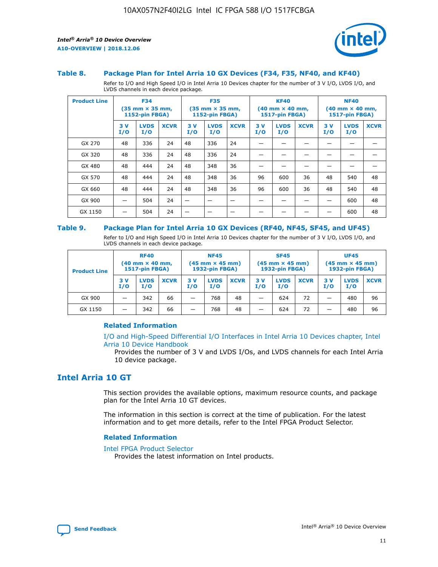

#### **Table 8. Package Plan for Intel Arria 10 GX Devices (F34, F35, NF40, and KF40)**

Refer to I/O and High Speed I/O in Intel Arria 10 Devices chapter for the number of 3 V I/O, LVDS I/O, and LVDS channels in each device package.

| <b>Product Line</b> | <b>F34</b><br>$(35 \text{ mm} \times 35 \text{ mm})$<br><b>1152-pin FBGA)</b> |                    | <b>F35</b><br>$(35 \text{ mm} \times 35 \text{ mm})$<br><b>1152-pin FBGA)</b> |           | <b>KF40</b><br>$(40$ mm $\times$ 40 mm,<br>1517-pin FBGA) |             |           | <b>NF40</b><br>$(40 \text{ mm} \times 40 \text{ mm})$<br>1517-pin FBGA) |             |           |                    |             |
|---------------------|-------------------------------------------------------------------------------|--------------------|-------------------------------------------------------------------------------|-----------|-----------------------------------------------------------|-------------|-----------|-------------------------------------------------------------------------|-------------|-----------|--------------------|-------------|
|                     | 3V<br>I/O                                                                     | <b>LVDS</b><br>I/O | <b>XCVR</b>                                                                   | 3V<br>I/O | <b>LVDS</b><br>I/O                                        | <b>XCVR</b> | 3V<br>I/O | <b>LVDS</b><br>I/O                                                      | <b>XCVR</b> | 3V<br>I/O | <b>LVDS</b><br>I/O | <b>XCVR</b> |
| GX 270              | 48                                                                            | 336                | 24                                                                            | 48        | 336                                                       | 24          |           |                                                                         |             |           |                    |             |
| GX 320              | 48                                                                            | 336                | 24                                                                            | 48        | 336                                                       | 24          |           |                                                                         |             |           |                    |             |
| GX 480              | 48                                                                            | 444                | 24                                                                            | 48        | 348                                                       | 36          |           |                                                                         |             |           |                    |             |
| GX 570              | 48                                                                            | 444                | 24                                                                            | 48        | 348                                                       | 36          | 96        | 600                                                                     | 36          | 48        | 540                | 48          |
| GX 660              | 48                                                                            | 444                | 24                                                                            | 48        | 348                                                       | 36          | 96        | 600                                                                     | 36          | 48        | 540                | 48          |
| GX 900              |                                                                               | 504                | 24                                                                            | —         |                                                           | -           |           |                                                                         |             |           | 600                | 48          |
| GX 1150             |                                                                               | 504                | 24                                                                            |           |                                                           |             |           |                                                                         |             |           | 600                | 48          |

#### **Table 9. Package Plan for Intel Arria 10 GX Devices (RF40, NF45, SF45, and UF45)**

Refer to I/O and High Speed I/O in Intel Arria 10 Devices chapter for the number of 3 V I/O, LVDS I/O, and LVDS channels in each device package.

| <b>Product Line</b> | <b>RF40</b><br>$(40$ mm $\times$ 40 mm,<br>1517-pin FBGA) |                    | <b>NF45</b><br>$(45 \text{ mm} \times 45 \text{ mm})$<br><b>1932-pin FBGA)</b> |            |                    | <b>SF45</b><br>$(45 \text{ mm} \times 45 \text{ mm})$<br><b>1932-pin FBGA)</b> |            |                    | <b>UF45</b><br>$(45 \text{ mm} \times 45 \text{ mm})$<br><b>1932-pin FBGA)</b> |           |                    |             |
|---------------------|-----------------------------------------------------------|--------------------|--------------------------------------------------------------------------------|------------|--------------------|--------------------------------------------------------------------------------|------------|--------------------|--------------------------------------------------------------------------------|-----------|--------------------|-------------|
|                     | 3V<br>I/O                                                 | <b>LVDS</b><br>I/O | <b>XCVR</b>                                                                    | 3 V<br>I/O | <b>LVDS</b><br>I/O | <b>XCVR</b>                                                                    | 3 V<br>I/O | <b>LVDS</b><br>I/O | <b>XCVR</b>                                                                    | 3V<br>I/O | <b>LVDS</b><br>I/O | <b>XCVR</b> |
| GX 900              |                                                           | 342                | 66                                                                             | _          | 768                | 48                                                                             |            | 624                | 72                                                                             |           | 480                | 96          |
| GX 1150             |                                                           | 342                | 66                                                                             | _          | 768                | 48                                                                             |            | 624                | 72                                                                             |           | 480                | 96          |

## **Related Information**

[I/O and High-Speed Differential I/O Interfaces in Intel Arria 10 Devices chapter, Intel](https://www.intel.com/content/www/us/en/programmable/documentation/sam1403482614086.html#sam1403482030321) [Arria 10 Device Handbook](https://www.intel.com/content/www/us/en/programmable/documentation/sam1403482614086.html#sam1403482030321)

Provides the number of 3 V and LVDS I/Os, and LVDS channels for each Intel Arria 10 device package.

# **Intel Arria 10 GT**

This section provides the available options, maximum resource counts, and package plan for the Intel Arria 10 GT devices.

The information in this section is correct at the time of publication. For the latest information and to get more details, refer to the Intel FPGA Product Selector.

#### **Related Information**

#### [Intel FPGA Product Selector](http://www.altera.com/products/selector/psg-selector.html)

Provides the latest information on Intel products.

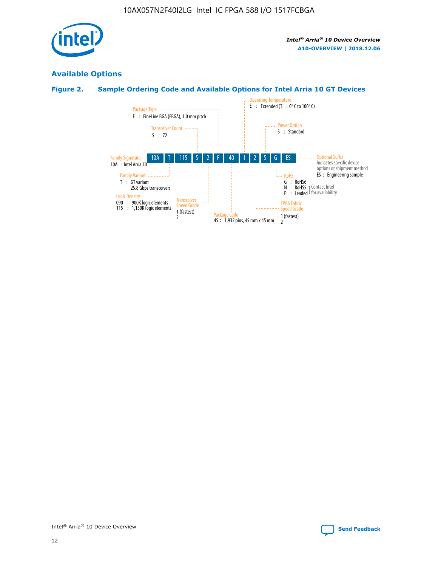

# **Available Options**

# **Figure 2. Sample Ordering Code and Available Options for Intel Arria 10 GT Devices**

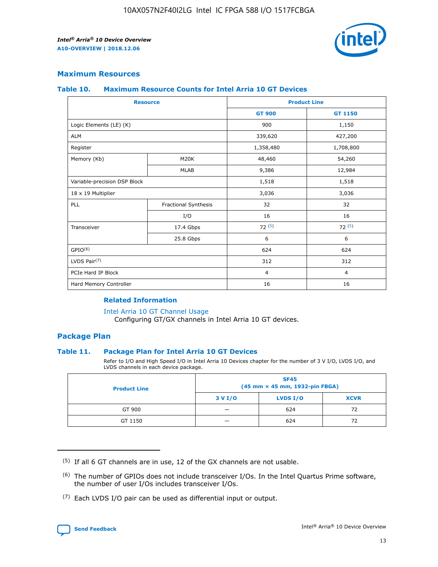

## **Maximum Resources**

#### **Table 10. Maximum Resource Counts for Intel Arria 10 GT Devices**

|                              | <b>Resource</b>      | <b>Product Line</b> |                |  |
|------------------------------|----------------------|---------------------|----------------|--|
|                              |                      | <b>GT 900</b>       | GT 1150        |  |
| Logic Elements (LE) (K)      |                      | 900                 | 1,150          |  |
| <b>ALM</b>                   |                      | 339,620             | 427,200        |  |
| Register                     |                      | 1,358,480           | 1,708,800      |  |
| Memory (Kb)                  | M20K                 | 48,460              | 54,260         |  |
|                              | <b>MLAB</b>          | 9,386               | 12,984         |  |
| Variable-precision DSP Block |                      | 1,518               | 1,518          |  |
| 18 x 19 Multiplier           |                      | 3,036               | 3,036          |  |
| <b>PLL</b>                   | Fractional Synthesis | 32                  | 32             |  |
|                              | I/O                  | 16                  | 16             |  |
| Transceiver                  | 17.4 Gbps            | 72(5)               | 72(5)          |  |
|                              | 25.8 Gbps            | 6                   | 6              |  |
| GPIO <sup>(6)</sup>          |                      | 624                 | 624            |  |
| LVDS Pair $(7)$              |                      | 312                 | 312            |  |
| PCIe Hard IP Block           |                      | $\overline{4}$      | $\overline{4}$ |  |
| Hard Memory Controller       |                      | 16                  | 16             |  |

## **Related Information**

#### [Intel Arria 10 GT Channel Usage](https://www.intel.com/content/www/us/en/programmable/documentation/nik1398707230472.html#nik1398707008178)

Configuring GT/GX channels in Intel Arria 10 GT devices.

## **Package Plan**

## **Table 11. Package Plan for Intel Arria 10 GT Devices**

Refer to I/O and High Speed I/O in Intel Arria 10 Devices chapter for the number of 3 V I/O, LVDS I/O, and LVDS channels in each device package.

| <b>Product Line</b> | <b>SF45</b><br>(45 mm × 45 mm, 1932-pin FBGA) |                 |             |  |  |  |
|---------------------|-----------------------------------------------|-----------------|-------------|--|--|--|
|                     | 3 V I/O                                       | <b>LVDS I/O</b> | <b>XCVR</b> |  |  |  |
| GT 900              |                                               | 624             | 72          |  |  |  |
| GT 1150             |                                               | 624             | 72          |  |  |  |

<sup>(7)</sup> Each LVDS I/O pair can be used as differential input or output.



 $(5)$  If all 6 GT channels are in use, 12 of the GX channels are not usable.

<sup>(6)</sup> The number of GPIOs does not include transceiver I/Os. In the Intel Quartus Prime software, the number of user I/Os includes transceiver I/Os.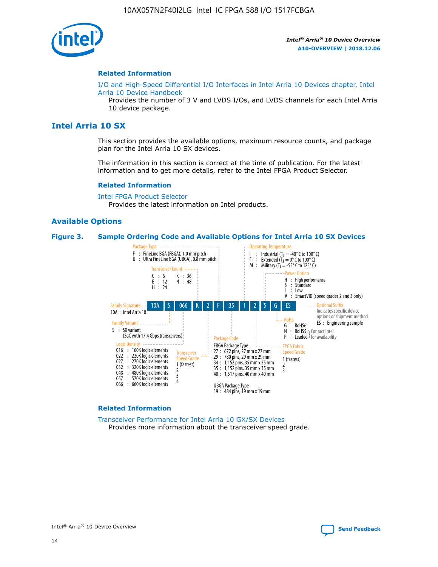

#### **Related Information**

[I/O and High-Speed Differential I/O Interfaces in Intel Arria 10 Devices chapter, Intel](https://www.intel.com/content/www/us/en/programmable/documentation/sam1403482614086.html#sam1403482030321) [Arria 10 Device Handbook](https://www.intel.com/content/www/us/en/programmable/documentation/sam1403482614086.html#sam1403482030321)

Provides the number of 3 V and LVDS I/Os, and LVDS channels for each Intel Arria 10 device package.

# **Intel Arria 10 SX**

This section provides the available options, maximum resource counts, and package plan for the Intel Arria 10 SX devices.

The information in this section is correct at the time of publication. For the latest information and to get more details, refer to the Intel FPGA Product Selector.

#### **Related Information**

[Intel FPGA Product Selector](http://www.altera.com/products/selector/psg-selector.html) Provides the latest information on Intel products.

## **Available Options**

#### **Figure 3. Sample Ordering Code and Available Options for Intel Arria 10 SX Devices**



#### **Related Information**

[Transceiver Performance for Intel Arria 10 GX/SX Devices](https://www.intel.com/content/www/us/en/programmable/documentation/mcn1413182292568.html#mcn1413213965502) Provides more information about the transceiver speed grade.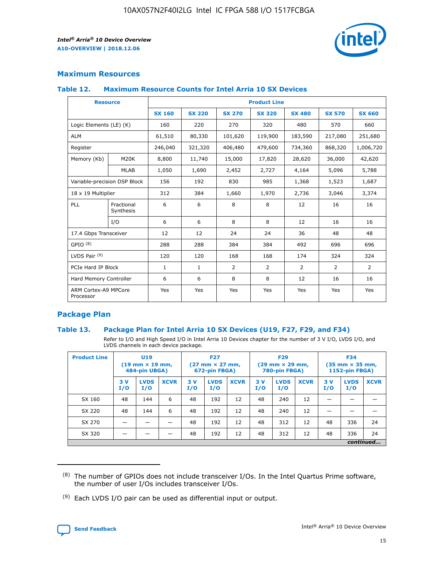

# **Maximum Resources**

#### **Table 12. Maximum Resource Counts for Intel Arria 10 SX Devices**

| <b>Resource</b>                   |                         | <b>Product Line</b> |               |               |                |               |               |               |  |  |  |
|-----------------------------------|-------------------------|---------------------|---------------|---------------|----------------|---------------|---------------|---------------|--|--|--|
|                                   |                         | <b>SX 160</b>       | <b>SX 220</b> | <b>SX 270</b> | <b>SX 320</b>  | <b>SX 480</b> | <b>SX 570</b> | <b>SX 660</b> |  |  |  |
| Logic Elements (LE) (K)           |                         | 160                 | 220           | 270           | 320            | 480           | 570           | 660           |  |  |  |
| <b>ALM</b>                        |                         | 61,510              | 80,330        | 101,620       | 119,900        | 183,590       | 217,080       | 251,680       |  |  |  |
| Register                          |                         | 246,040             | 321,320       | 406,480       | 479,600        | 734,360       | 868,320       | 1,006,720     |  |  |  |
| Memory (Kb)                       | M20K                    | 8,800               | 11,740        | 15,000        | 17,820         | 28,620        | 36,000        | 42,620        |  |  |  |
|                                   | <b>MLAB</b>             | 1,050               | 1,690         | 2,452         | 2,727          | 4,164         | 5,096         | 5,788         |  |  |  |
| Variable-precision DSP Block      |                         | 156                 | 192           | 830           | 985            | 1,368         | 1,523         | 1,687         |  |  |  |
| 18 x 19 Multiplier                |                         | 312                 | 384           | 1,660         | 1,970          | 2,736         | 3,046         | 3,374         |  |  |  |
| PLL                               | Fractional<br>Synthesis | 6                   | 6             | 8             | 8              | 12            | 16            | 16            |  |  |  |
|                                   | I/O                     | 6                   | 6             | 8             | 8              | 12            | 16            | 16            |  |  |  |
| 17.4 Gbps Transceiver             |                         | 12                  | 12            | 24            | 24             | 36            | 48            | 48            |  |  |  |
| GPIO <sup>(8)</sup>               |                         | 288                 | 288           | 384           | 384            | 492           | 696           | 696           |  |  |  |
| LVDS Pair $(9)$                   |                         | 120                 | 120           | 168           | 168            | 174           | 324           | 324           |  |  |  |
|                                   | PCIe Hard IP Block      |                     | $\mathbf{1}$  | 2             | $\overline{2}$ | 2             | 2             | 2             |  |  |  |
| Hard Memory Controller            |                         | 6                   | 6             | 8             | 8              | 12            | 16            | 16            |  |  |  |
| ARM Cortex-A9 MPCore<br>Processor |                         | Yes                 | Yes           | Yes           | Yes            | Yes           | Yes           | Yes           |  |  |  |

# **Package Plan**

## **Table 13. Package Plan for Intel Arria 10 SX Devices (U19, F27, F29, and F34)**

Refer to I/O and High Speed I/O in Intel Arria 10 Devices chapter for the number of 3 V I/O, LVDS I/O, and LVDS channels in each device package.

| <b>Product Line</b> | <b>U19</b><br>$(19 \text{ mm} \times 19 \text{ mm})$<br>484-pin UBGA) |                    |             | <b>F27</b><br>$(27 \text{ mm} \times 27 \text{ mm})$<br>672-pin FBGA) |                    | <b>F29</b><br>$(29 \text{ mm} \times 29 \text{ mm})$<br>780-pin FBGA) |           |                    | <b>F34</b><br>$(35 \text{ mm} \times 35 \text{ mm})$<br><b>1152-pin FBGA)</b> |           |                    |             |
|---------------------|-----------------------------------------------------------------------|--------------------|-------------|-----------------------------------------------------------------------|--------------------|-----------------------------------------------------------------------|-----------|--------------------|-------------------------------------------------------------------------------|-----------|--------------------|-------------|
|                     | 3V<br>I/O                                                             | <b>LVDS</b><br>I/O | <b>XCVR</b> | 3V<br>I/O                                                             | <b>LVDS</b><br>I/O | <b>XCVR</b>                                                           | 3V<br>I/O | <b>LVDS</b><br>I/O | <b>XCVR</b>                                                                   | 3V<br>I/O | <b>LVDS</b><br>I/O | <b>XCVR</b> |
| SX 160              | 48                                                                    | 144                | 6           | 48                                                                    | 192                | 12                                                                    | 48        | 240                | 12                                                                            | -         |                    |             |
| SX 220              | 48                                                                    | 144                | 6           | 48                                                                    | 192                | 12                                                                    | 48        | 240                | 12                                                                            |           |                    |             |
| SX 270              |                                                                       |                    |             | 48                                                                    | 192                | 12                                                                    | 48        | 312                | 12                                                                            | 48        | 336                | 24          |
| SX 320              |                                                                       |                    |             | 48                                                                    | 192                | 12                                                                    | 48        | 312                | 12                                                                            | 48        | 336                | 24          |
|                     | continued                                                             |                    |             |                                                                       |                    |                                                                       |           |                    |                                                                               |           |                    |             |

 $(8)$  The number of GPIOs does not include transceiver I/Os. In the Intel Quartus Prime software, the number of user I/Os includes transceiver I/Os.

 $(9)$  Each LVDS I/O pair can be used as differential input or output.

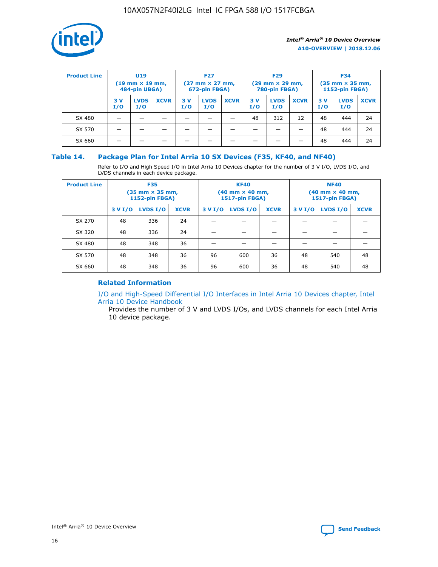

| <b>Product Line</b> | U <sub>19</sub><br>$(19 \text{ mm} \times 19 \text{ mm})$<br>484-pin UBGA) |                    | <b>F27</b><br>$(27 \text{ mm} \times 27 \text{ mm})$<br>672-pin FBGA) |           | <b>F29</b><br>$(29$ mm $\times$ 29 mm,<br>780-pin FBGA) |             |           | <b>F34</b><br>$(35$ mm $\times$ 35 mm,<br><b>1152-pin FBGA)</b> |             |            |                    |             |
|---------------------|----------------------------------------------------------------------------|--------------------|-----------------------------------------------------------------------|-----------|---------------------------------------------------------|-------------|-----------|-----------------------------------------------------------------|-------------|------------|--------------------|-------------|
|                     | 3 V<br>I/O                                                                 | <b>LVDS</b><br>I/O | <b>XCVR</b>                                                           | 3V<br>I/O | <b>LVDS</b><br>I/O                                      | <b>XCVR</b> | 3V<br>I/O | <b>LVDS</b><br>I/O                                              | <b>XCVR</b> | 3 V<br>I/O | <b>LVDS</b><br>I/O | <b>XCVR</b> |
| SX 480              |                                                                            |                    |                                                                       |           |                                                         |             | 48        | 312                                                             | 12          | 48         | 444                | 24          |
| SX 570              |                                                                            |                    |                                                                       |           |                                                         |             |           |                                                                 |             | 48         | 444                | 24          |
| SX 660              |                                                                            |                    |                                                                       |           |                                                         |             |           |                                                                 |             | 48         | 444                | 24          |

## **Table 14. Package Plan for Intel Arria 10 SX Devices (F35, KF40, and NF40)**

Refer to I/O and High Speed I/O in Intel Arria 10 Devices chapter for the number of 3 V I/O, LVDS I/O, and LVDS channels in each device package.

| <b>Product Line</b> | <b>F35</b><br>(35 mm × 35 mm,<br><b>1152-pin FBGA)</b> |          |             |                                           | <b>KF40</b><br>(40 mm × 40 mm,<br>1517-pin FBGA) |    | <b>NF40</b><br>$(40 \text{ mm} \times 40 \text{ mm})$<br>1517-pin FBGA) |          |             |  |
|---------------------|--------------------------------------------------------|----------|-------------|-------------------------------------------|--------------------------------------------------|----|-------------------------------------------------------------------------|----------|-------------|--|
|                     | 3 V I/O                                                | LVDS I/O | <b>XCVR</b> | <b>LVDS I/O</b><br>3 V I/O<br><b>XCVR</b> |                                                  |    | 3 V I/O                                                                 | LVDS I/O | <b>XCVR</b> |  |
| SX 270              | 48                                                     | 336      | 24          |                                           |                                                  |    |                                                                         |          |             |  |
| SX 320              | 48                                                     | 336      | 24          |                                           |                                                  |    |                                                                         |          |             |  |
| SX 480              | 48                                                     | 348      | 36          |                                           |                                                  |    |                                                                         |          |             |  |
| SX 570              | 48                                                     | 348      | 36          | 96                                        | 600                                              | 36 | 48                                                                      | 540      | 48          |  |
| SX 660              | 48                                                     | 348      | 36          | 96                                        | 600                                              | 36 | 48                                                                      | 540      | 48          |  |

# **Related Information**

[I/O and High-Speed Differential I/O Interfaces in Intel Arria 10 Devices chapter, Intel](https://www.intel.com/content/www/us/en/programmable/documentation/sam1403482614086.html#sam1403482030321) [Arria 10 Device Handbook](https://www.intel.com/content/www/us/en/programmable/documentation/sam1403482614086.html#sam1403482030321)

Provides the number of 3 V and LVDS I/Os, and LVDS channels for each Intel Arria 10 device package.

Intel<sup>®</sup> Arria<sup>®</sup> 10 Device Overview **[Send Feedback](mailto:FPGAtechdocfeedback@intel.com?subject=Feedback%20on%20Intel%20Arria%2010%20Device%20Overview%20(A10-OVERVIEW%202018.12.06)&body=We%20appreciate%20your%20feedback.%20In%20your%20comments,%20also%20specify%20the%20page%20number%20or%20paragraph.%20Thank%20you.)** Send Feedback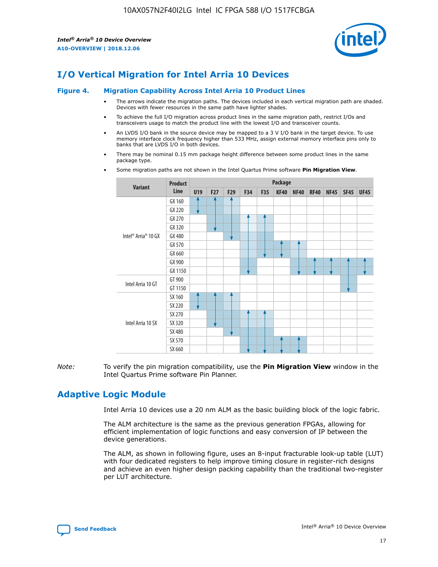

# **I/O Vertical Migration for Intel Arria 10 Devices**

#### **Figure 4. Migration Capability Across Intel Arria 10 Product Lines**

- The arrows indicate the migration paths. The devices included in each vertical migration path are shaded. Devices with fewer resources in the same path have lighter shades.
- To achieve the full I/O migration across product lines in the same migration path, restrict I/Os and transceivers usage to match the product line with the lowest I/O and transceiver counts.
- An LVDS I/O bank in the source device may be mapped to a 3 V I/O bank in the target device. To use memory interface clock frequency higher than 533 MHz, assign external memory interface pins only to banks that are LVDS I/O in both devices.
- There may be nominal 0.15 mm package height difference between some product lines in the same package type.
	- **Variant Product Line Package U19 F27 F29 F34 F35 KF40 NF40 RF40 NF45 SF45 UF45** Intel® Arria® 10 GX GX 160 GX 220 GX 270 GX 320 GX 480 GX 570 GX 660 GX 900 GX 1150 Intel Arria 10 GT GT 900 GT 1150 Intel Arria 10 SX SX 160 SX 220 SX 270 SX 320 SX 480 SX 570 SX 660
- Some migration paths are not shown in the Intel Quartus Prime software **Pin Migration View**.

*Note:* To verify the pin migration compatibility, use the **Pin Migration View** window in the Intel Quartus Prime software Pin Planner.

# **Adaptive Logic Module**

Intel Arria 10 devices use a 20 nm ALM as the basic building block of the logic fabric.

The ALM architecture is the same as the previous generation FPGAs, allowing for efficient implementation of logic functions and easy conversion of IP between the device generations.

The ALM, as shown in following figure, uses an 8-input fracturable look-up table (LUT) with four dedicated registers to help improve timing closure in register-rich designs and achieve an even higher design packing capability than the traditional two-register per LUT architecture.

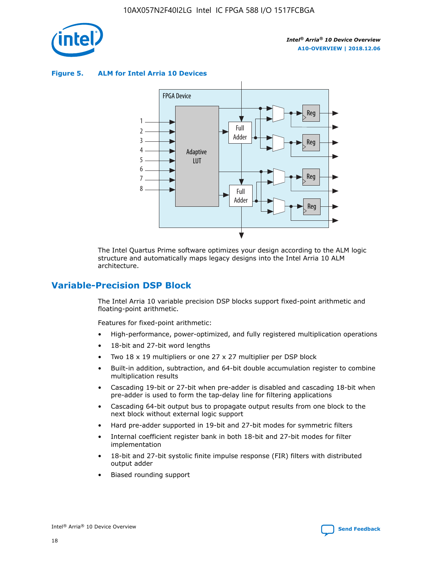

**Figure 5. ALM for Intel Arria 10 Devices**



The Intel Quartus Prime software optimizes your design according to the ALM logic structure and automatically maps legacy designs into the Intel Arria 10 ALM architecture.

# **Variable-Precision DSP Block**

The Intel Arria 10 variable precision DSP blocks support fixed-point arithmetic and floating-point arithmetic.

Features for fixed-point arithmetic:

- High-performance, power-optimized, and fully registered multiplication operations
- 18-bit and 27-bit word lengths
- Two 18 x 19 multipliers or one 27 x 27 multiplier per DSP block
- Built-in addition, subtraction, and 64-bit double accumulation register to combine multiplication results
- Cascading 19-bit or 27-bit when pre-adder is disabled and cascading 18-bit when pre-adder is used to form the tap-delay line for filtering applications
- Cascading 64-bit output bus to propagate output results from one block to the next block without external logic support
- Hard pre-adder supported in 19-bit and 27-bit modes for symmetric filters
- Internal coefficient register bank in both 18-bit and 27-bit modes for filter implementation
- 18-bit and 27-bit systolic finite impulse response (FIR) filters with distributed output adder
- Biased rounding support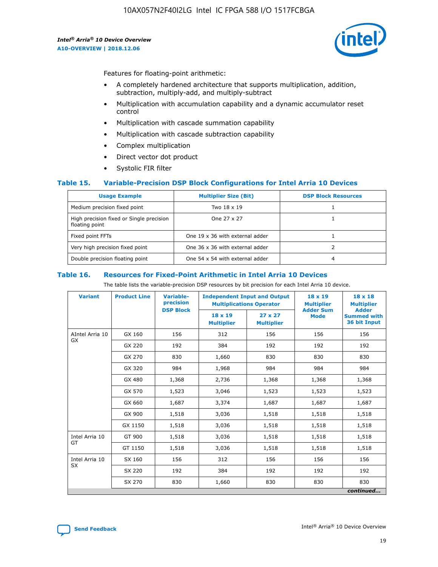

Features for floating-point arithmetic:

- A completely hardened architecture that supports multiplication, addition, subtraction, multiply-add, and multiply-subtract
- Multiplication with accumulation capability and a dynamic accumulator reset control
- Multiplication with cascade summation capability
- Multiplication with cascade subtraction capability
- Complex multiplication
- Direct vector dot product
- Systolic FIR filter

## **Table 15. Variable-Precision DSP Block Configurations for Intel Arria 10 Devices**

| <b>Usage Example</b>                                       | <b>Multiplier Size (Bit)</b>    | <b>DSP Block Resources</b> |
|------------------------------------------------------------|---------------------------------|----------------------------|
| Medium precision fixed point                               | Two 18 x 19                     |                            |
| High precision fixed or Single precision<br>floating point | One 27 x 27                     |                            |
| Fixed point FFTs                                           | One 19 x 36 with external adder |                            |
| Very high precision fixed point                            | One 36 x 36 with external adder |                            |
| Double precision floating point                            | One 54 x 54 with external adder | 4                          |

#### **Table 16. Resources for Fixed-Point Arithmetic in Intel Arria 10 Devices**

The table lists the variable-precision DSP resources by bit precision for each Intel Arria 10 device.

| <b>Variant</b>        | <b>Product Line</b> | Variable-<br>precision | <b>Independent Input and Output</b><br><b>Multiplications Operator</b> |                                     | $18 \times 19$<br><b>Multiplier</b><br><b>Adder Sum</b> | $18 \times 18$<br><b>Multiplier</b>                |
|-----------------------|---------------------|------------------------|------------------------------------------------------------------------|-------------------------------------|---------------------------------------------------------|----------------------------------------------------|
|                       |                     | <b>DSP Block</b>       | 18 x 19<br><b>Multiplier</b>                                           | $27 \times 27$<br><b>Multiplier</b> | <b>Mode</b>                                             | <b>Adder</b><br><b>Summed with</b><br>36 bit Input |
| AIntel Arria 10<br>GX | GX 160              | 156                    | 312                                                                    | 156                                 | 156                                                     | 156                                                |
|                       | GX 220              | 192                    | 384                                                                    | 192                                 | 192                                                     | 192                                                |
|                       | GX 270              | 830                    | 1,660                                                                  | 830                                 | 830                                                     | 830                                                |
|                       | GX 320              | 984                    | 1,968                                                                  | 984                                 | 984                                                     | 984                                                |
|                       | GX 480              | 1,368                  | 2,736                                                                  | 1,368                               | 1,368                                                   | 1,368                                              |
|                       | GX 570              | 1,523                  | 3,046                                                                  | 1,523                               | 1,523                                                   | 1,523                                              |
|                       | GX 660              | 1,687                  | 3,374                                                                  | 1,687                               | 1,687                                                   | 1,687                                              |
|                       | GX 900              | 1,518                  | 3,036                                                                  | 1,518                               | 1,518                                                   | 1,518                                              |
|                       | GX 1150             | 1,518                  | 3,036                                                                  | 1,518                               | 1,518                                                   | 1,518                                              |
| Intel Arria 10        | GT 900              | 1,518                  | 3,036                                                                  | 1,518                               | 1,518                                                   | 1,518                                              |
| GT                    | GT 1150             | 1,518                  | 3,036                                                                  | 1,518                               | 1,518                                                   | 1,518                                              |
| Intel Arria 10        | SX 160              | 156                    | 312                                                                    | 156                                 | 156                                                     | 156                                                |
| <b>SX</b>             | SX 220              | 192                    | 384                                                                    | 192                                 | 192                                                     | 192                                                |
|                       | SX 270              | 830                    | 1,660                                                                  | 830                                 | 830                                                     | 830                                                |
|                       |                     |                        |                                                                        |                                     |                                                         | continued                                          |

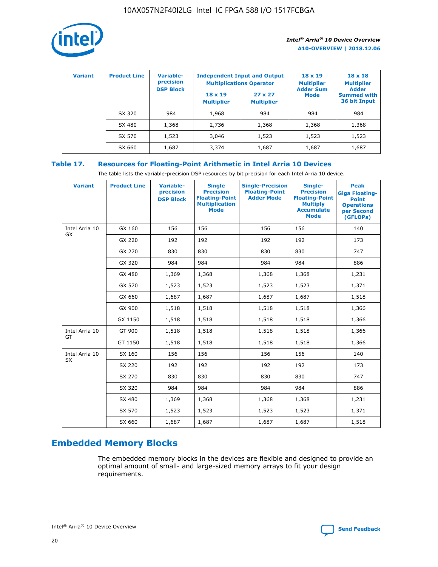

| <b>Variant</b> | <b>Product Line</b> | <b>Variable-</b><br>precision<br><b>DSP Block</b> | <b>Independent Input and Output</b><br><b>Multiplications Operator</b> |                                     | $18 \times 19$<br><b>Multiplier</b><br><b>Adder Sum</b> | $18 \times 18$<br><b>Multiplier</b><br><b>Adder</b> |  |
|----------------|---------------------|---------------------------------------------------|------------------------------------------------------------------------|-------------------------------------|---------------------------------------------------------|-----------------------------------------------------|--|
|                |                     |                                                   | $18 \times 19$<br><b>Multiplier</b>                                    | $27 \times 27$<br><b>Multiplier</b> | <b>Mode</b>                                             | <b>Summed with</b><br>36 bit Input                  |  |
|                | SX 320              | 984                                               | 1,968                                                                  | 984                                 | 984                                                     | 984                                                 |  |
|                | SX 480              | 1,368                                             | 2,736                                                                  | 1,368                               | 1,368                                                   | 1,368                                               |  |
|                | SX 570              | 1,523                                             | 3,046                                                                  | 1,523                               | 1,523                                                   | 1,523                                               |  |
|                | SX 660              | 1,687                                             | 3,374                                                                  | 1,687                               | 1,687                                                   | 1,687                                               |  |

# **Table 17. Resources for Floating-Point Arithmetic in Intel Arria 10 Devices**

The table lists the variable-precision DSP resources by bit precision for each Intel Arria 10 device.

| <b>Variant</b> | <b>Product Line</b> | <b>Variable-</b><br>precision<br><b>DSP Block</b> | <b>Single</b><br><b>Precision</b><br><b>Floating-Point</b><br><b>Multiplication</b><br><b>Mode</b> | <b>Single-Precision</b><br><b>Floating-Point</b><br><b>Adder Mode</b> | Single-<br><b>Precision</b><br><b>Floating-Point</b><br><b>Multiply</b><br><b>Accumulate</b><br><b>Mode</b> | <b>Peak</b><br><b>Giga Floating-</b><br><b>Point</b><br><b>Operations</b><br>per Second<br>(GFLOPs) |
|----------------|---------------------|---------------------------------------------------|----------------------------------------------------------------------------------------------------|-----------------------------------------------------------------------|-------------------------------------------------------------------------------------------------------------|-----------------------------------------------------------------------------------------------------|
| Intel Arria 10 | GX 160              | 156                                               | 156                                                                                                | 156                                                                   | 156                                                                                                         | 140                                                                                                 |
| GX             | GX 220              | 192                                               | 192                                                                                                | 192                                                                   | 192                                                                                                         | 173                                                                                                 |
|                | GX 270              | 830                                               | 830                                                                                                | 830                                                                   | 830                                                                                                         | 747                                                                                                 |
|                | GX 320              | 984                                               | 984                                                                                                | 984                                                                   | 984                                                                                                         | 886                                                                                                 |
|                | GX 480              | 1,369                                             | 1,368                                                                                              | 1,368                                                                 | 1,368                                                                                                       | 1,231                                                                                               |
|                | GX 570              | 1,523                                             | 1,523                                                                                              | 1,523                                                                 | 1,523                                                                                                       | 1,371                                                                                               |
|                | GX 660              | 1,687                                             | 1,687                                                                                              | 1,687                                                                 | 1,687                                                                                                       | 1,518                                                                                               |
|                | GX 900              | 1,518                                             | 1,518                                                                                              | 1,518                                                                 | 1,518                                                                                                       | 1,366                                                                                               |
|                | GX 1150             | 1,518                                             | 1,518                                                                                              | 1,518                                                                 | 1,518                                                                                                       | 1,366                                                                                               |
| Intel Arria 10 | GT 900              | 1,518                                             | 1,518                                                                                              | 1,518                                                                 | 1,518                                                                                                       | 1,366                                                                                               |
| GT             | GT 1150             | 1,518                                             | 1,518                                                                                              | 1,518                                                                 | 1,518                                                                                                       | 1,366                                                                                               |
| Intel Arria 10 | SX 160              | 156                                               | 156                                                                                                | 156                                                                   | 156                                                                                                         | 140                                                                                                 |
| <b>SX</b>      | SX 220              | 192                                               | 192                                                                                                | 192                                                                   | 192                                                                                                         | 173                                                                                                 |
|                | SX 270              | 830                                               | 830                                                                                                | 830                                                                   | 830                                                                                                         | 747                                                                                                 |
|                | SX 320              | 984                                               | 984                                                                                                | 984                                                                   | 984                                                                                                         | 886                                                                                                 |
|                | SX 480              | 1,369                                             | 1,368                                                                                              | 1,368                                                                 | 1,368                                                                                                       | 1,231                                                                                               |
|                | SX 570              | 1,523                                             | 1,523                                                                                              | 1,523                                                                 | 1,523                                                                                                       | 1,371                                                                                               |
|                | SX 660              | 1,687                                             | 1,687                                                                                              | 1,687                                                                 | 1,687                                                                                                       | 1,518                                                                                               |

# **Embedded Memory Blocks**

The embedded memory blocks in the devices are flexible and designed to provide an optimal amount of small- and large-sized memory arrays to fit your design requirements.

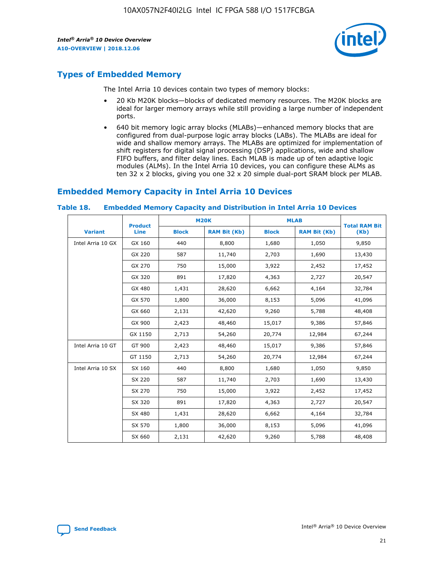

# **Types of Embedded Memory**

The Intel Arria 10 devices contain two types of memory blocks:

- 20 Kb M20K blocks—blocks of dedicated memory resources. The M20K blocks are ideal for larger memory arrays while still providing a large number of independent ports.
- 640 bit memory logic array blocks (MLABs)—enhanced memory blocks that are configured from dual-purpose logic array blocks (LABs). The MLABs are ideal for wide and shallow memory arrays. The MLABs are optimized for implementation of shift registers for digital signal processing (DSP) applications, wide and shallow FIFO buffers, and filter delay lines. Each MLAB is made up of ten adaptive logic modules (ALMs). In the Intel Arria 10 devices, you can configure these ALMs as ten 32 x 2 blocks, giving you one 32 x 20 simple dual-port SRAM block per MLAB.

# **Embedded Memory Capacity in Intel Arria 10 Devices**

|                   | <b>Product</b> |              | <b>M20K</b>         | <b>MLAB</b>  |                     | <b>Total RAM Bit</b> |
|-------------------|----------------|--------------|---------------------|--------------|---------------------|----------------------|
| <b>Variant</b>    | Line           | <b>Block</b> | <b>RAM Bit (Kb)</b> | <b>Block</b> | <b>RAM Bit (Kb)</b> | (Kb)                 |
| Intel Arria 10 GX | GX 160         | 440          | 8,800               | 1,680        | 1,050               | 9,850                |
|                   | GX 220         | 587          | 11,740              | 2,703        | 1,690               | 13,430               |
|                   | GX 270         | 750          | 15,000              | 3,922        | 2,452               | 17,452               |
|                   | GX 320         | 891          | 17,820              | 4,363        | 2,727               | 20,547               |
|                   | GX 480         | 1,431        | 28,620              | 6,662        | 4,164               | 32,784               |
|                   | GX 570         | 1,800        | 36,000              | 8,153        | 5,096               | 41,096               |
|                   | GX 660         | 2,131        | 42,620              | 9,260        | 5,788               | 48,408               |
|                   | GX 900         | 2,423        | 48,460              | 15,017       | 9,386               | 57,846               |
|                   | GX 1150        | 2,713        | 54,260              | 20,774       | 12,984              | 67,244               |
| Intel Arria 10 GT | GT 900         | 2,423        | 48,460              | 15,017       | 9,386               | 57,846               |
|                   | GT 1150        | 2,713        | 54,260              | 20,774       | 12,984              | 67,244               |
| Intel Arria 10 SX | SX 160         | 440          | 8,800               | 1,680        | 1,050               | 9,850                |
|                   | SX 220         | 587          | 11,740              | 2,703        | 1,690               | 13,430               |
|                   | SX 270         | 750          | 15,000              | 3,922        | 2,452               | 17,452               |
|                   | SX 320         | 891          | 17,820              | 4,363        | 2,727               | 20,547               |
|                   | SX 480         | 1,431        | 28,620              | 6,662        | 4,164               | 32,784               |
|                   | SX 570         | 1,800        | 36,000              | 8,153        | 5,096               | 41,096               |
|                   | SX 660         | 2,131        | 42,620              | 9,260        | 5,788               | 48,408               |

#### **Table 18. Embedded Memory Capacity and Distribution in Intel Arria 10 Devices**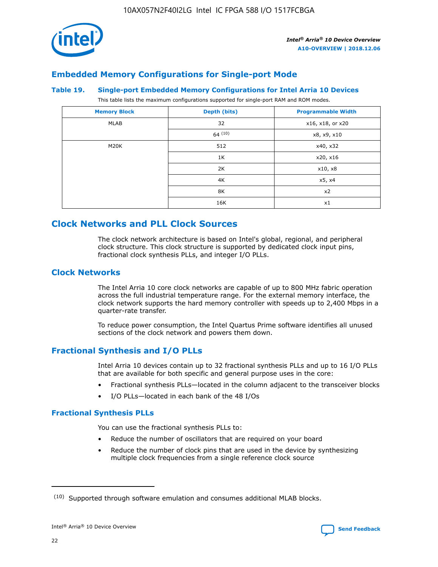

# **Embedded Memory Configurations for Single-port Mode**

#### **Table 19. Single-port Embedded Memory Configurations for Intel Arria 10 Devices**

This table lists the maximum configurations supported for single-port RAM and ROM modes.

| <b>Memory Block</b> | Depth (bits) | <b>Programmable Width</b> |
|---------------------|--------------|---------------------------|
| MLAB                | 32           | x16, x18, or x20          |
|                     | 64(10)       | x8, x9, x10               |
| M20K                | 512          | x40, x32                  |
|                     | 1K           | x20, x16                  |
|                     | 2K           | x10, x8                   |
|                     | 4K           | x5, x4                    |
|                     | 8K           | x2                        |
|                     | 16K          | x1                        |

# **Clock Networks and PLL Clock Sources**

The clock network architecture is based on Intel's global, regional, and peripheral clock structure. This clock structure is supported by dedicated clock input pins, fractional clock synthesis PLLs, and integer I/O PLLs.

# **Clock Networks**

The Intel Arria 10 core clock networks are capable of up to 800 MHz fabric operation across the full industrial temperature range. For the external memory interface, the clock network supports the hard memory controller with speeds up to 2,400 Mbps in a quarter-rate transfer.

To reduce power consumption, the Intel Quartus Prime software identifies all unused sections of the clock network and powers them down.

# **Fractional Synthesis and I/O PLLs**

Intel Arria 10 devices contain up to 32 fractional synthesis PLLs and up to 16 I/O PLLs that are available for both specific and general purpose uses in the core:

- Fractional synthesis PLLs—located in the column adjacent to the transceiver blocks
- I/O PLLs—located in each bank of the 48 I/Os

# **Fractional Synthesis PLLs**

You can use the fractional synthesis PLLs to:

- Reduce the number of oscillators that are required on your board
- Reduce the number of clock pins that are used in the device by synthesizing multiple clock frequencies from a single reference clock source

<sup>(10)</sup> Supported through software emulation and consumes additional MLAB blocks.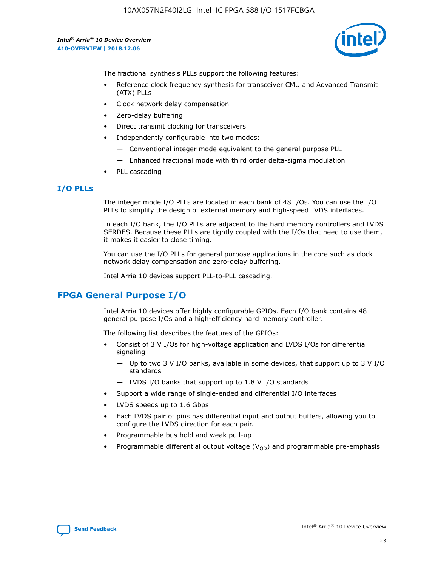

The fractional synthesis PLLs support the following features:

- Reference clock frequency synthesis for transceiver CMU and Advanced Transmit (ATX) PLLs
- Clock network delay compensation
- Zero-delay buffering
- Direct transmit clocking for transceivers
- Independently configurable into two modes:
	- Conventional integer mode equivalent to the general purpose PLL
	- Enhanced fractional mode with third order delta-sigma modulation
- PLL cascading

## **I/O PLLs**

The integer mode I/O PLLs are located in each bank of 48 I/Os. You can use the I/O PLLs to simplify the design of external memory and high-speed LVDS interfaces.

In each I/O bank, the I/O PLLs are adjacent to the hard memory controllers and LVDS SERDES. Because these PLLs are tightly coupled with the I/Os that need to use them, it makes it easier to close timing.

You can use the I/O PLLs for general purpose applications in the core such as clock network delay compensation and zero-delay buffering.

Intel Arria 10 devices support PLL-to-PLL cascading.

# **FPGA General Purpose I/O**

Intel Arria 10 devices offer highly configurable GPIOs. Each I/O bank contains 48 general purpose I/Os and a high-efficiency hard memory controller.

The following list describes the features of the GPIOs:

- Consist of 3 V I/Os for high-voltage application and LVDS I/Os for differential signaling
	- Up to two 3 V I/O banks, available in some devices, that support up to 3 V I/O standards
	- LVDS I/O banks that support up to 1.8 V I/O standards
- Support a wide range of single-ended and differential I/O interfaces
- LVDS speeds up to 1.6 Gbps
- Each LVDS pair of pins has differential input and output buffers, allowing you to configure the LVDS direction for each pair.
- Programmable bus hold and weak pull-up
- Programmable differential output voltage  $(V_{OD})$  and programmable pre-emphasis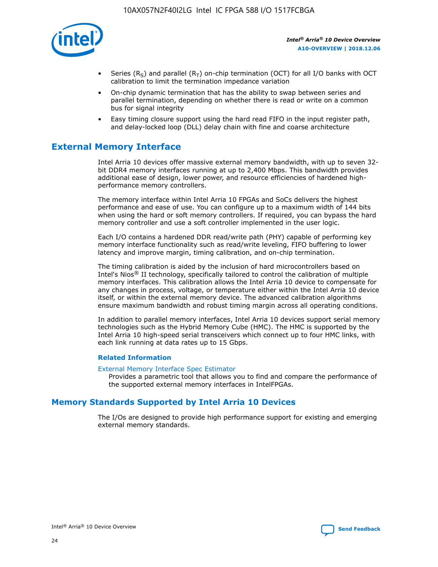

- Series (R<sub>S</sub>) and parallel (R<sub>T</sub>) on-chip termination (OCT) for all I/O banks with OCT calibration to limit the termination impedance variation
- On-chip dynamic termination that has the ability to swap between series and parallel termination, depending on whether there is read or write on a common bus for signal integrity
- Easy timing closure support using the hard read FIFO in the input register path, and delay-locked loop (DLL) delay chain with fine and coarse architecture

# **External Memory Interface**

Intel Arria 10 devices offer massive external memory bandwidth, with up to seven 32 bit DDR4 memory interfaces running at up to 2,400 Mbps. This bandwidth provides additional ease of design, lower power, and resource efficiencies of hardened highperformance memory controllers.

The memory interface within Intel Arria 10 FPGAs and SoCs delivers the highest performance and ease of use. You can configure up to a maximum width of 144 bits when using the hard or soft memory controllers. If required, you can bypass the hard memory controller and use a soft controller implemented in the user logic.

Each I/O contains a hardened DDR read/write path (PHY) capable of performing key memory interface functionality such as read/write leveling, FIFO buffering to lower latency and improve margin, timing calibration, and on-chip termination.

The timing calibration is aided by the inclusion of hard microcontrollers based on Intel's Nios® II technology, specifically tailored to control the calibration of multiple memory interfaces. This calibration allows the Intel Arria 10 device to compensate for any changes in process, voltage, or temperature either within the Intel Arria 10 device itself, or within the external memory device. The advanced calibration algorithms ensure maximum bandwidth and robust timing margin across all operating conditions.

In addition to parallel memory interfaces, Intel Arria 10 devices support serial memory technologies such as the Hybrid Memory Cube (HMC). The HMC is supported by the Intel Arria 10 high-speed serial transceivers which connect up to four HMC links, with each link running at data rates up to 15 Gbps.

## **Related Information**

#### [External Memory Interface Spec Estimator](http://www.altera.com/technology/memory/estimator/mem-emif-index.html)

Provides a parametric tool that allows you to find and compare the performance of the supported external memory interfaces in IntelFPGAs.

# **Memory Standards Supported by Intel Arria 10 Devices**

The I/Os are designed to provide high performance support for existing and emerging external memory standards.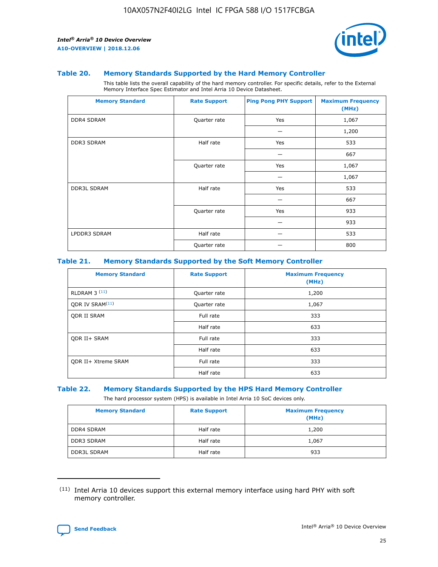

#### **Table 20. Memory Standards Supported by the Hard Memory Controller**

This table lists the overall capability of the hard memory controller. For specific details, refer to the External Memory Interface Spec Estimator and Intel Arria 10 Device Datasheet.

| <b>Memory Standard</b> | <b>Rate Support</b> | <b>Ping Pong PHY Support</b> | <b>Maximum Frequency</b><br>(MHz) |
|------------------------|---------------------|------------------------------|-----------------------------------|
| <b>DDR4 SDRAM</b>      | Quarter rate        | Yes                          | 1,067                             |
|                        |                     |                              | 1,200                             |
| DDR3 SDRAM             | Half rate           | Yes                          | 533                               |
|                        |                     |                              | 667                               |
|                        | Quarter rate        | Yes                          | 1,067                             |
|                        |                     |                              | 1,067                             |
| <b>DDR3L SDRAM</b>     | Half rate           | Yes                          | 533                               |
|                        |                     |                              | 667                               |
|                        | Quarter rate        | Yes                          | 933                               |
|                        |                     |                              | 933                               |
| LPDDR3 SDRAM           | Half rate           |                              | 533                               |
|                        | Quarter rate        |                              | 800                               |

## **Table 21. Memory Standards Supported by the Soft Memory Controller**

| <b>Memory Standard</b>      | <b>Rate Support</b> | <b>Maximum Frequency</b><br>(MHz) |
|-----------------------------|---------------------|-----------------------------------|
| <b>RLDRAM 3 (11)</b>        | Quarter rate        | 1,200                             |
| ODR IV SRAM <sup>(11)</sup> | Quarter rate        | 1,067                             |
| <b>ODR II SRAM</b>          | Full rate           | 333                               |
|                             | Half rate           | 633                               |
| <b>ODR II+ SRAM</b>         | Full rate           | 333                               |
|                             | Half rate           | 633                               |
| <b>ODR II+ Xtreme SRAM</b>  | Full rate           | 333                               |
|                             | Half rate           | 633                               |

#### **Table 22. Memory Standards Supported by the HPS Hard Memory Controller**

The hard processor system (HPS) is available in Intel Arria 10 SoC devices only.

| <b>Memory Standard</b> | <b>Rate Support</b> | <b>Maximum Frequency</b><br>(MHz) |
|------------------------|---------------------|-----------------------------------|
| <b>DDR4 SDRAM</b>      | Half rate           | 1,200                             |
| <b>DDR3 SDRAM</b>      | Half rate           | 1,067                             |
| <b>DDR3L SDRAM</b>     | Half rate           | 933                               |

<sup>(11)</sup> Intel Arria 10 devices support this external memory interface using hard PHY with soft memory controller.

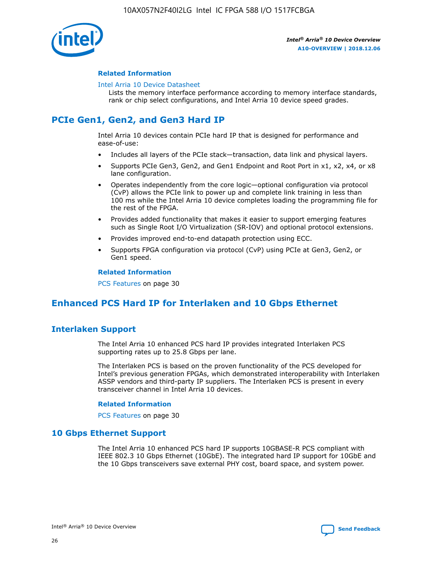

## **Related Information**

#### [Intel Arria 10 Device Datasheet](https://www.intel.com/content/www/us/en/programmable/documentation/mcn1413182292568.html#mcn1413182153340)

Lists the memory interface performance according to memory interface standards, rank or chip select configurations, and Intel Arria 10 device speed grades.

# **PCIe Gen1, Gen2, and Gen3 Hard IP**

Intel Arria 10 devices contain PCIe hard IP that is designed for performance and ease-of-use:

- Includes all layers of the PCIe stack—transaction, data link and physical layers.
- Supports PCIe Gen3, Gen2, and Gen1 Endpoint and Root Port in x1, x2, x4, or x8 lane configuration.
- Operates independently from the core logic—optional configuration via protocol (CvP) allows the PCIe link to power up and complete link training in less than 100 ms while the Intel Arria 10 device completes loading the programming file for the rest of the FPGA.
- Provides added functionality that makes it easier to support emerging features such as Single Root I/O Virtualization (SR-IOV) and optional protocol extensions.
- Provides improved end-to-end datapath protection using ECC.
- Supports FPGA configuration via protocol (CvP) using PCIe at Gen3, Gen2, or Gen1 speed.

#### **Related Information**

PCS Features on page 30

# **Enhanced PCS Hard IP for Interlaken and 10 Gbps Ethernet**

# **Interlaken Support**

The Intel Arria 10 enhanced PCS hard IP provides integrated Interlaken PCS supporting rates up to 25.8 Gbps per lane.

The Interlaken PCS is based on the proven functionality of the PCS developed for Intel's previous generation FPGAs, which demonstrated interoperability with Interlaken ASSP vendors and third-party IP suppliers. The Interlaken PCS is present in every transceiver channel in Intel Arria 10 devices.

## **Related Information**

PCS Features on page 30

# **10 Gbps Ethernet Support**

The Intel Arria 10 enhanced PCS hard IP supports 10GBASE-R PCS compliant with IEEE 802.3 10 Gbps Ethernet (10GbE). The integrated hard IP support for 10GbE and the 10 Gbps transceivers save external PHY cost, board space, and system power.

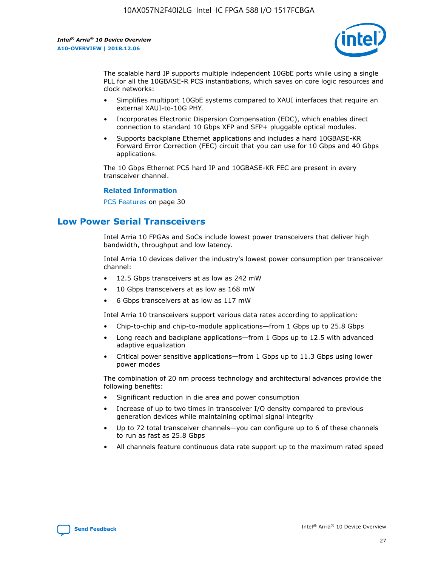

The scalable hard IP supports multiple independent 10GbE ports while using a single PLL for all the 10GBASE-R PCS instantiations, which saves on core logic resources and clock networks:

- Simplifies multiport 10GbE systems compared to XAUI interfaces that require an external XAUI-to-10G PHY.
- Incorporates Electronic Dispersion Compensation (EDC), which enables direct connection to standard 10 Gbps XFP and SFP+ pluggable optical modules.
- Supports backplane Ethernet applications and includes a hard 10GBASE-KR Forward Error Correction (FEC) circuit that you can use for 10 Gbps and 40 Gbps applications.

The 10 Gbps Ethernet PCS hard IP and 10GBASE-KR FEC are present in every transceiver channel.

#### **Related Information**

PCS Features on page 30

# **Low Power Serial Transceivers**

Intel Arria 10 FPGAs and SoCs include lowest power transceivers that deliver high bandwidth, throughput and low latency.

Intel Arria 10 devices deliver the industry's lowest power consumption per transceiver channel:

- 12.5 Gbps transceivers at as low as 242 mW
- 10 Gbps transceivers at as low as 168 mW
- 6 Gbps transceivers at as low as 117 mW

Intel Arria 10 transceivers support various data rates according to application:

- Chip-to-chip and chip-to-module applications—from 1 Gbps up to 25.8 Gbps
- Long reach and backplane applications—from 1 Gbps up to 12.5 with advanced adaptive equalization
- Critical power sensitive applications—from 1 Gbps up to 11.3 Gbps using lower power modes

The combination of 20 nm process technology and architectural advances provide the following benefits:

- Significant reduction in die area and power consumption
- Increase of up to two times in transceiver I/O density compared to previous generation devices while maintaining optimal signal integrity
- Up to 72 total transceiver channels—you can configure up to 6 of these channels to run as fast as 25.8 Gbps
- All channels feature continuous data rate support up to the maximum rated speed

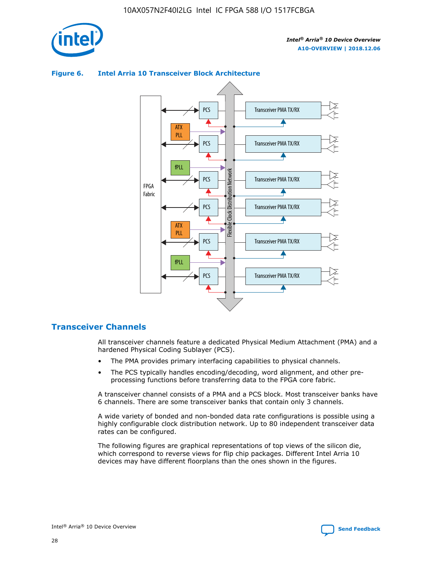

# Transceiver PMA TX/RX PCS ATX PLL Transceiver PMA TX/RX PCS fPLL Network Flexible Clock Distribution Network PCS Transceiver PMA TX/RX FPGA **Clock Distribution** Fabric PCS Transceiver PMA TX/RX ATX Flexible PLL PCS Transceiver PMA TX/RX ▲ fPLL Transceiver PMA TX/RX PCS 4

## **Figure 6. Intel Arria 10 Transceiver Block Architecture**

# **Transceiver Channels**

All transceiver channels feature a dedicated Physical Medium Attachment (PMA) and a hardened Physical Coding Sublayer (PCS).

- The PMA provides primary interfacing capabilities to physical channels.
- The PCS typically handles encoding/decoding, word alignment, and other preprocessing functions before transferring data to the FPGA core fabric.

A transceiver channel consists of a PMA and a PCS block. Most transceiver banks have 6 channels. There are some transceiver banks that contain only 3 channels.

A wide variety of bonded and non-bonded data rate configurations is possible using a highly configurable clock distribution network. Up to 80 independent transceiver data rates can be configured.

The following figures are graphical representations of top views of the silicon die, which correspond to reverse views for flip chip packages. Different Intel Arria 10 devices may have different floorplans than the ones shown in the figures.

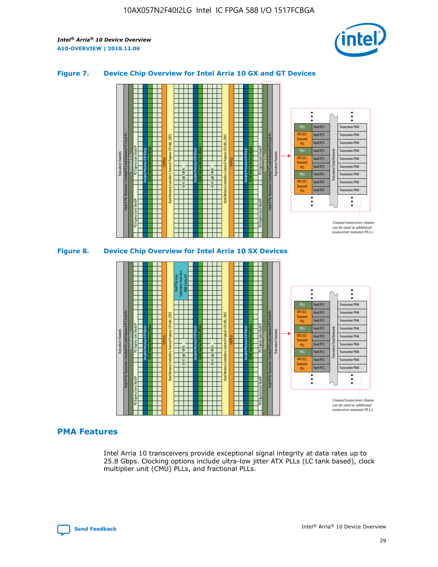

## **Figure 7. Device Chip Overview for Intel Arria 10 GX and GT Devices**



M20K Internal Memory Blocks Core Logic Fabric Transceiver Channels Hard IP Per Transceiver: Standard PCS and Enhanced PCS Hard IPs PCI Express Gen3 Hard IP Fractional PLLs M20K Internal Memory Blocks PCI Express Gen3 Hard IP Variable Precision DSP Blocks I/O PLLs Hard Memory Controllers, General-Purpose I/O Cells, LVDS Hard Processor Subsystem, Dual-Core ARM Cortex A9 M20K Internal Memory Blocks Variable Precision DSP Blocks M20K Internal Memory Blocks Core Logic Fabric I/O PLLs Hard Memory Controllers, General-Purpose I/O Cells, LVDS M20K Internal Memory Blocks Variable Precision DSP Blocks M20K Internal Memory Blocks Transceiver Channels Hard IP Per Transceiver: Standard PCS and Enhanced PCS Hard IPs PCI Express Gen3 Hard IP Fractional PLLs PCI Express Gen3 Hard IP  $\ddot{\cdot}$ Hard PCS Transceiver PMA fPLL ATX (LC) Hard PCS Transceiver PMA **Transmit** Hard PCS Transceiver PMA PLL fPLL Hard PCS Transceiver PMA Transceiver Clock Networks ATX (LC) Hard PCS Transceiver PMA Transmi Hard PCS Transceiver PMA PLL fPLL Hard PCS Transceiver PMA Transceiver PMA Hard PCS ATX (LC) **Transmit** Hard PCS Transceiver PMA PLL Unused transceiver chann can be used as additional transceiver transmit PLLs

# **PMA Features**

Intel Arria 10 transceivers provide exceptional signal integrity at data rates up to 25.8 Gbps. Clocking options include ultra-low jitter ATX PLLs (LC tank based), clock multiplier unit (CMU) PLLs, and fractional PLLs.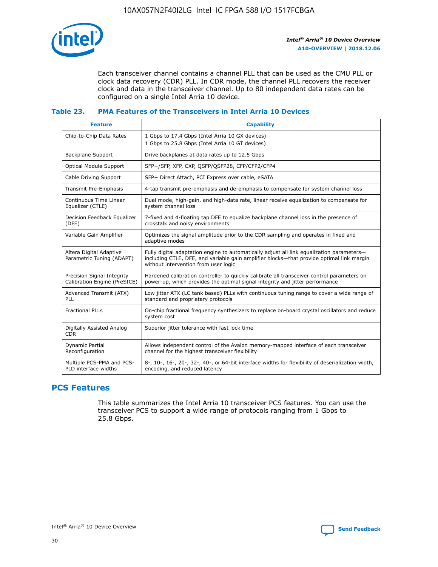

Each transceiver channel contains a channel PLL that can be used as the CMU PLL or clock data recovery (CDR) PLL. In CDR mode, the channel PLL recovers the receiver clock and data in the transceiver channel. Up to 80 independent data rates can be configured on a single Intel Arria 10 device.

## **Table 23. PMA Features of the Transceivers in Intel Arria 10 Devices**

| <b>Feature</b>                                             | <b>Capability</b>                                                                                                                                                                                                             |
|------------------------------------------------------------|-------------------------------------------------------------------------------------------------------------------------------------------------------------------------------------------------------------------------------|
| Chip-to-Chip Data Rates                                    | 1 Gbps to 17.4 Gbps (Intel Arria 10 GX devices)<br>1 Gbps to 25.8 Gbps (Intel Arria 10 GT devices)                                                                                                                            |
| Backplane Support                                          | Drive backplanes at data rates up to 12.5 Gbps                                                                                                                                                                                |
| <b>Optical Module Support</b>                              | SFP+/SFP, XFP, CXP, QSFP/QSFP28, CFP/CFP2/CFP4                                                                                                                                                                                |
| Cable Driving Support                                      | SFP+ Direct Attach, PCI Express over cable, eSATA                                                                                                                                                                             |
| Transmit Pre-Emphasis                                      | 4-tap transmit pre-emphasis and de-emphasis to compensate for system channel loss                                                                                                                                             |
| Continuous Time Linear<br>Equalizer (CTLE)                 | Dual mode, high-gain, and high-data rate, linear receive equalization to compensate for<br>system channel loss                                                                                                                |
| Decision Feedback Equalizer<br>(DFE)                       | 7-fixed and 4-floating tap DFE to equalize backplane channel loss in the presence of<br>crosstalk and noisy environments                                                                                                      |
| Variable Gain Amplifier                                    | Optimizes the signal amplitude prior to the CDR sampling and operates in fixed and<br>adaptive modes                                                                                                                          |
| Altera Digital Adaptive<br>Parametric Tuning (ADAPT)       | Fully digital adaptation engine to automatically adjust all link equalization parameters-<br>including CTLE, DFE, and variable gain amplifier blocks—that provide optimal link margin<br>without intervention from user logic |
| Precision Signal Integrity<br>Calibration Engine (PreSICE) | Hardened calibration controller to quickly calibrate all transceiver control parameters on<br>power-up, which provides the optimal signal integrity and jitter performance                                                    |
| Advanced Transmit (ATX)<br>PLL                             | Low jitter ATX (LC tank based) PLLs with continuous tuning range to cover a wide range of<br>standard and proprietary protocols                                                                                               |
| <b>Fractional PLLs</b>                                     | On-chip fractional frequency synthesizers to replace on-board crystal oscillators and reduce<br>system cost                                                                                                                   |
| Digitally Assisted Analog<br><b>CDR</b>                    | Superior jitter tolerance with fast lock time                                                                                                                                                                                 |
| <b>Dynamic Partial</b><br>Reconfiguration                  | Allows independent control of the Avalon memory-mapped interface of each transceiver<br>channel for the highest transceiver flexibility                                                                                       |
| Multiple PCS-PMA and PCS-<br>PLD interface widths          | 8-, 10-, 16-, 20-, 32-, 40-, or 64-bit interface widths for flexibility of deserialization width,<br>encoding, and reduced latency                                                                                            |

# **PCS Features**

This table summarizes the Intel Arria 10 transceiver PCS features. You can use the transceiver PCS to support a wide range of protocols ranging from 1 Gbps to 25.8 Gbps.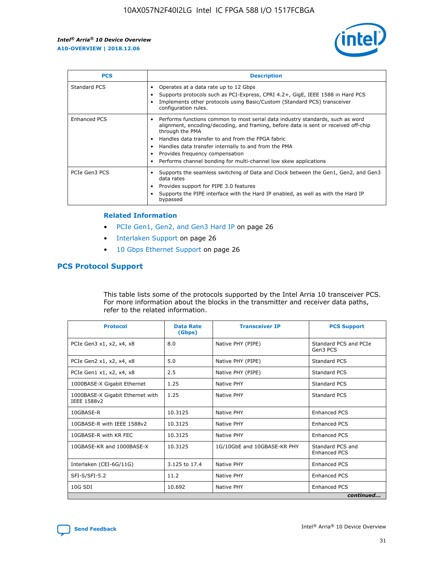

| <b>PCS</b>    | <b>Description</b>                                                                                                                                                                                                                                                                                                                                                                                                          |
|---------------|-----------------------------------------------------------------------------------------------------------------------------------------------------------------------------------------------------------------------------------------------------------------------------------------------------------------------------------------------------------------------------------------------------------------------------|
| Standard PCS  | Operates at a data rate up to 12 Gbps<br>Supports protocols such as PCI-Express, CPRI 4.2+, GigE, IEEE 1588 in Hard PCS<br>Implements other protocols using Basic/Custom (Standard PCS) transceiver<br>configuration rules.                                                                                                                                                                                                 |
| Enhanced PCS  | Performs functions common to most serial data industry standards, such as word<br>$\bullet$<br>alignment, encoding/decoding, and framing, before data is sent or received off-chip<br>through the PMA<br>• Handles data transfer to and from the FPGA fabric<br>Handles data transfer internally to and from the PMA<br>Provides frequency compensation<br>Performs channel bonding for multi-channel low skew applications |
| PCIe Gen3 PCS | Supports the seamless switching of Data and Clock between the Gen1, Gen2, and Gen3<br>data rates<br>Provides support for PIPE 3.0 features<br>Supports the PIPE interface with the Hard IP enabled, as well as with the Hard IP<br>bypassed                                                                                                                                                                                 |

#### **Related Information**

- PCIe Gen1, Gen2, and Gen3 Hard IP on page 26
- Interlaken Support on page 26
- 10 Gbps Ethernet Support on page 26

# **PCS Protocol Support**

This table lists some of the protocols supported by the Intel Arria 10 transceiver PCS. For more information about the blocks in the transmitter and receiver data paths, refer to the related information.

| <b>Protocol</b>                                 | <b>Data Rate</b><br>(Gbps) | <b>Transceiver IP</b>       | <b>PCS Support</b>                      |
|-------------------------------------------------|----------------------------|-----------------------------|-----------------------------------------|
| PCIe Gen3 x1, x2, x4, x8                        | 8.0                        | Native PHY (PIPE)           | Standard PCS and PCIe<br>Gen3 PCS       |
| PCIe Gen2 x1, x2, x4, x8                        | 5.0                        | Native PHY (PIPE)           | <b>Standard PCS</b>                     |
| PCIe Gen1 x1, x2, x4, x8                        | 2.5                        | Native PHY (PIPE)           | Standard PCS                            |
| 1000BASE-X Gigabit Ethernet                     | 1.25                       | Native PHY                  | <b>Standard PCS</b>                     |
| 1000BASE-X Gigabit Ethernet with<br>IEEE 1588v2 | 1.25                       | Native PHY                  | Standard PCS                            |
| 10GBASE-R                                       | 10.3125                    | Native PHY                  | <b>Enhanced PCS</b>                     |
| 10GBASE-R with IEEE 1588v2                      | 10.3125                    | Native PHY                  | <b>Enhanced PCS</b>                     |
| 10GBASE-R with KR FEC                           | 10.3125                    | Native PHY                  | <b>Enhanced PCS</b>                     |
| 10GBASE-KR and 1000BASE-X                       | 10.3125                    | 1G/10GbE and 10GBASE-KR PHY | Standard PCS and<br><b>Enhanced PCS</b> |
| Interlaken (CEI-6G/11G)                         | 3.125 to 17.4              | Native PHY                  | <b>Enhanced PCS</b>                     |
| SFI-S/SFI-5.2                                   | 11.2                       | Native PHY                  | <b>Enhanced PCS</b>                     |
| $10G$ SDI                                       | 10.692                     | Native PHY                  | <b>Enhanced PCS</b>                     |
|                                                 |                            |                             | continued                               |

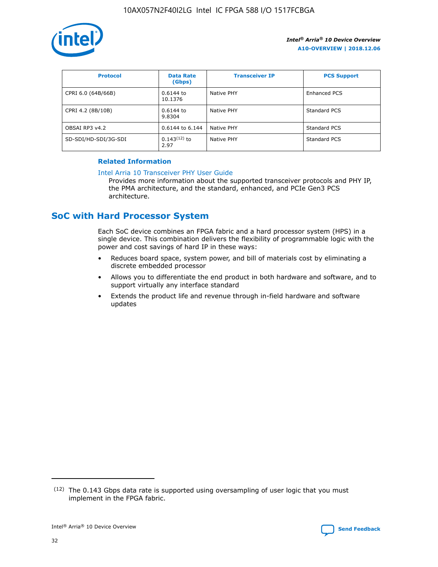

| <b>Protocol</b>      | <b>Data Rate</b><br>(Gbps) | <b>Transceiver IP</b> | <b>PCS Support</b>  |
|----------------------|----------------------------|-----------------------|---------------------|
| CPRI 6.0 (64B/66B)   | 0.6144 to<br>10.1376       | Native PHY            | <b>Enhanced PCS</b> |
| CPRI 4.2 (8B/10B)    | 0.6144 to<br>9.8304        | Native PHY            | Standard PCS        |
| OBSAI RP3 v4.2       | 0.6144 to 6.144            | Native PHY            | Standard PCS        |
| SD-SDI/HD-SDI/3G-SDI | $0.143(12)$ to<br>2.97     | Native PHY            | Standard PCS        |

## **Related Information**

#### [Intel Arria 10 Transceiver PHY User Guide](https://www.intel.com/content/www/us/en/programmable/documentation/nik1398707230472.html#nik1398707091164)

Provides more information about the supported transceiver protocols and PHY IP, the PMA architecture, and the standard, enhanced, and PCIe Gen3 PCS architecture.

# **SoC with Hard Processor System**

Each SoC device combines an FPGA fabric and a hard processor system (HPS) in a single device. This combination delivers the flexibility of programmable logic with the power and cost savings of hard IP in these ways:

- Reduces board space, system power, and bill of materials cost by eliminating a discrete embedded processor
- Allows you to differentiate the end product in both hardware and software, and to support virtually any interface standard
- Extends the product life and revenue through in-field hardware and software updates

 $(12)$  The 0.143 Gbps data rate is supported using oversampling of user logic that you must implement in the FPGA fabric.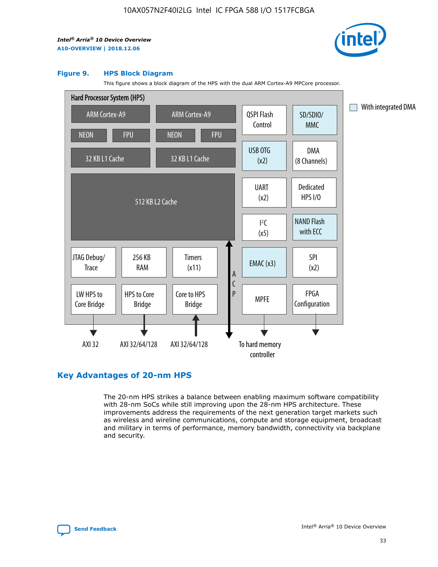

#### **Figure 9. HPS Block Diagram**

This figure shows a block diagram of the HPS with the dual ARM Cortex-A9 MPCore processor.



# **Key Advantages of 20-nm HPS**

The 20-nm HPS strikes a balance between enabling maximum software compatibility with 28-nm SoCs while still improving upon the 28-nm HPS architecture. These improvements address the requirements of the next generation target markets such as wireless and wireline communications, compute and storage equipment, broadcast and military in terms of performance, memory bandwidth, connectivity via backplane and security.

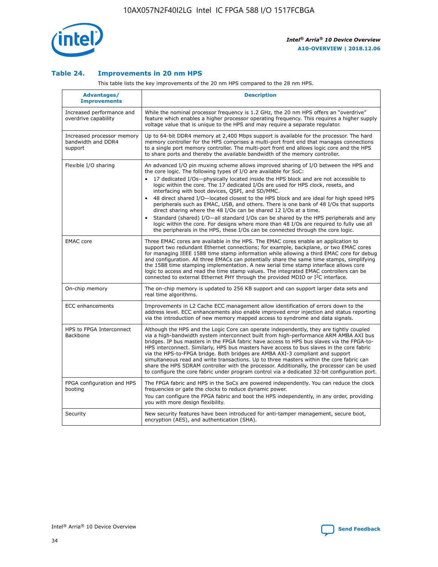

## **Table 24. Improvements in 20 nm HPS**

This table lists the key improvements of the 20 nm HPS compared to the 28 nm HPS.

| Advantages/<br><b>Improvements</b>                          | <b>Description</b>                                                                                                                                                                                                                                                                                                                                                                                                                                                                                                                                                                                                                                                                                                                                                                                                                                                                                                      |
|-------------------------------------------------------------|-------------------------------------------------------------------------------------------------------------------------------------------------------------------------------------------------------------------------------------------------------------------------------------------------------------------------------------------------------------------------------------------------------------------------------------------------------------------------------------------------------------------------------------------------------------------------------------------------------------------------------------------------------------------------------------------------------------------------------------------------------------------------------------------------------------------------------------------------------------------------------------------------------------------------|
| Increased performance and<br>overdrive capability           | While the nominal processor frequency is 1.2 GHz, the 20 nm HPS offers an "overdrive"<br>feature which enables a higher processor operating frequency. This requires a higher supply<br>voltage value that is unique to the HPS and may require a separate regulator.                                                                                                                                                                                                                                                                                                                                                                                                                                                                                                                                                                                                                                                   |
| Increased processor memory<br>bandwidth and DDR4<br>support | Up to 64-bit DDR4 memory at 2,400 Mbps support is available for the processor. The hard<br>memory controller for the HPS comprises a multi-port front end that manages connections<br>to a single port memory controller. The multi-port front end allows logic core and the HPS<br>to share ports and thereby the available bandwidth of the memory controller.                                                                                                                                                                                                                                                                                                                                                                                                                                                                                                                                                        |
| Flexible I/O sharing                                        | An advanced I/O pin muxing scheme allows improved sharing of I/O between the HPS and<br>the core logic. The following types of I/O are available for SoC:<br>17 dedicated I/Os-physically located inside the HPS block and are not accessible to<br>logic within the core. The 17 dedicated I/Os are used for HPS clock, resets, and<br>interfacing with boot devices, QSPI, and SD/MMC.<br>48 direct shared I/O-located closest to the HPS block and are ideal for high speed HPS<br>peripherals such as EMAC, USB, and others. There is one bank of 48 I/Os that supports<br>direct sharing where the 48 I/Os can be shared 12 I/Os at a time.<br>Standard (shared) I/O-all standard I/Os can be shared by the HPS peripherals and any<br>logic within the core. For designs where more than 48 I/Os are reguired to fully use all<br>the peripherals in the HPS, these I/Os can be connected through the core logic. |
| <b>EMAC</b> core                                            | Three EMAC cores are available in the HPS. The EMAC cores enable an application to<br>support two redundant Ethernet connections; for example, backplane, or two EMAC cores<br>for managing IEEE 1588 time stamp information while allowing a third EMAC core for debug<br>and configuration. All three EMACs can potentially share the same time stamps, simplifying<br>the 1588 time stamping implementation. A new serial time stamp interface allows core<br>logic to access and read the time stamp values. The integrated EMAC controllers can be<br>connected to external Ethernet PHY through the provided MDIO or I <sup>2</sup> C interface.                                                                                                                                                                                                                                                                  |
| On-chip memory                                              | The on-chip memory is updated to 256 KB support and can support larger data sets and<br>real time algorithms.                                                                                                                                                                                                                                                                                                                                                                                                                                                                                                                                                                                                                                                                                                                                                                                                           |
| <b>ECC</b> enhancements                                     | Improvements in L2 Cache ECC management allow identification of errors down to the<br>address level. ECC enhancements also enable improved error injection and status reporting<br>via the introduction of new memory mapped access to syndrome and data signals.                                                                                                                                                                                                                                                                                                                                                                                                                                                                                                                                                                                                                                                       |
| HPS to FPGA Interconnect<br>Backbone                        | Although the HPS and the Logic Core can operate independently, they are tightly coupled<br>via a high-bandwidth system interconnect built from high-performance ARM AMBA AXI bus<br>bridges. IP bus masters in the FPGA fabric have access to HPS bus slaves via the FPGA-to-<br>HPS interconnect. Similarly, HPS bus masters have access to bus slaves in the core fabric<br>via the HPS-to-FPGA bridge. Both bridges are AMBA AXI-3 compliant and support<br>simultaneous read and write transactions. Up to three masters within the core fabric can<br>share the HPS SDRAM controller with the processor. Additionally, the processor can be used<br>to configure the core fabric under program control via a dedicated 32-bit configuration port.                                                                                                                                                                  |
| FPGA configuration and HPS<br>booting                       | The FPGA fabric and HPS in the SoCs are powered independently. You can reduce the clock<br>frequencies or gate the clocks to reduce dynamic power.<br>You can configure the FPGA fabric and boot the HPS independently, in any order, providing<br>you with more design flexibility.                                                                                                                                                                                                                                                                                                                                                                                                                                                                                                                                                                                                                                    |
| Security                                                    | New security features have been introduced for anti-tamper management, secure boot,<br>encryption (AES), and authentication (SHA).                                                                                                                                                                                                                                                                                                                                                                                                                                                                                                                                                                                                                                                                                                                                                                                      |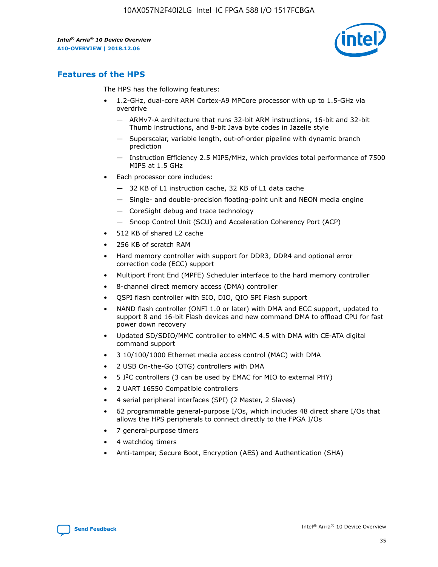

# **Features of the HPS**

The HPS has the following features:

- 1.2-GHz, dual-core ARM Cortex-A9 MPCore processor with up to 1.5-GHz via overdrive
	- ARMv7-A architecture that runs 32-bit ARM instructions, 16-bit and 32-bit Thumb instructions, and 8-bit Java byte codes in Jazelle style
	- Superscalar, variable length, out-of-order pipeline with dynamic branch prediction
	- Instruction Efficiency 2.5 MIPS/MHz, which provides total performance of 7500 MIPS at 1.5 GHz
- Each processor core includes:
	- 32 KB of L1 instruction cache, 32 KB of L1 data cache
	- Single- and double-precision floating-point unit and NEON media engine
	- CoreSight debug and trace technology
	- Snoop Control Unit (SCU) and Acceleration Coherency Port (ACP)
- 512 KB of shared L2 cache
- 256 KB of scratch RAM
- Hard memory controller with support for DDR3, DDR4 and optional error correction code (ECC) support
- Multiport Front End (MPFE) Scheduler interface to the hard memory controller
- 8-channel direct memory access (DMA) controller
- QSPI flash controller with SIO, DIO, QIO SPI Flash support
- NAND flash controller (ONFI 1.0 or later) with DMA and ECC support, updated to support 8 and 16-bit Flash devices and new command DMA to offload CPU for fast power down recovery
- Updated SD/SDIO/MMC controller to eMMC 4.5 with DMA with CE-ATA digital command support
- 3 10/100/1000 Ethernet media access control (MAC) with DMA
- 2 USB On-the-Go (OTG) controllers with DMA
- $\bullet$  5 I<sup>2</sup>C controllers (3 can be used by EMAC for MIO to external PHY)
- 2 UART 16550 Compatible controllers
- 4 serial peripheral interfaces (SPI) (2 Master, 2 Slaves)
- 62 programmable general-purpose I/Os, which includes 48 direct share I/Os that allows the HPS peripherals to connect directly to the FPGA I/Os
- 7 general-purpose timers
- 4 watchdog timers
- Anti-tamper, Secure Boot, Encryption (AES) and Authentication (SHA)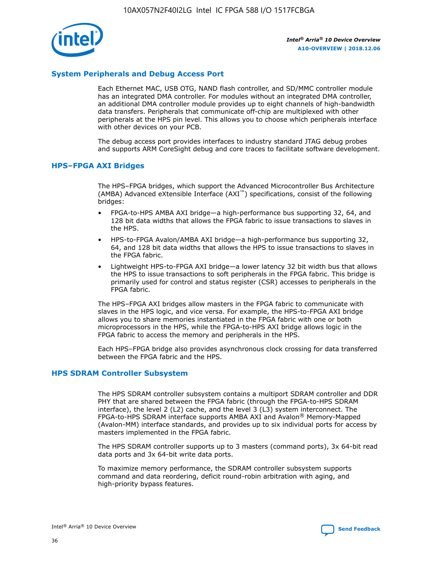

# **System Peripherals and Debug Access Port**

Each Ethernet MAC, USB OTG, NAND flash controller, and SD/MMC controller module has an integrated DMA controller. For modules without an integrated DMA controller, an additional DMA controller module provides up to eight channels of high-bandwidth data transfers. Peripherals that communicate off-chip are multiplexed with other peripherals at the HPS pin level. This allows you to choose which peripherals interface with other devices on your PCB.

The debug access port provides interfaces to industry standard JTAG debug probes and supports ARM CoreSight debug and core traces to facilitate software development.

## **HPS–FPGA AXI Bridges**

The HPS–FPGA bridges, which support the Advanced Microcontroller Bus Architecture (AMBA) Advanced eXtensible Interface (AXI™) specifications, consist of the following bridges:

- FPGA-to-HPS AMBA AXI bridge—a high-performance bus supporting 32, 64, and 128 bit data widths that allows the FPGA fabric to issue transactions to slaves in the HPS.
- HPS-to-FPGA Avalon/AMBA AXI bridge—a high-performance bus supporting 32, 64, and 128 bit data widths that allows the HPS to issue transactions to slaves in the FPGA fabric.
- Lightweight HPS-to-FPGA AXI bridge—a lower latency 32 bit width bus that allows the HPS to issue transactions to soft peripherals in the FPGA fabric. This bridge is primarily used for control and status register (CSR) accesses to peripherals in the FPGA fabric.

The HPS–FPGA AXI bridges allow masters in the FPGA fabric to communicate with slaves in the HPS logic, and vice versa. For example, the HPS-to-FPGA AXI bridge allows you to share memories instantiated in the FPGA fabric with one or both microprocessors in the HPS, while the FPGA-to-HPS AXI bridge allows logic in the FPGA fabric to access the memory and peripherals in the HPS.

Each HPS–FPGA bridge also provides asynchronous clock crossing for data transferred between the FPGA fabric and the HPS.

## **HPS SDRAM Controller Subsystem**

The HPS SDRAM controller subsystem contains a multiport SDRAM controller and DDR PHY that are shared between the FPGA fabric (through the FPGA-to-HPS SDRAM interface), the level 2 (L2) cache, and the level 3 (L3) system interconnect. The FPGA-to-HPS SDRAM interface supports AMBA AXI and Avalon® Memory-Mapped (Avalon-MM) interface standards, and provides up to six individual ports for access by masters implemented in the FPGA fabric.

The HPS SDRAM controller supports up to 3 masters (command ports), 3x 64-bit read data ports and 3x 64-bit write data ports.

To maximize memory performance, the SDRAM controller subsystem supports command and data reordering, deficit round-robin arbitration with aging, and high-priority bypass features.

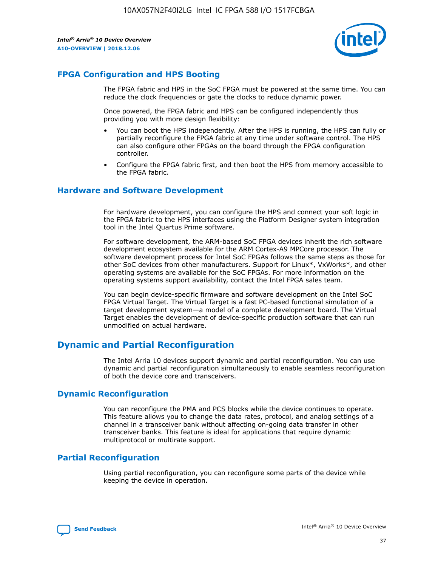

# **FPGA Configuration and HPS Booting**

The FPGA fabric and HPS in the SoC FPGA must be powered at the same time. You can reduce the clock frequencies or gate the clocks to reduce dynamic power.

Once powered, the FPGA fabric and HPS can be configured independently thus providing you with more design flexibility:

- You can boot the HPS independently. After the HPS is running, the HPS can fully or partially reconfigure the FPGA fabric at any time under software control. The HPS can also configure other FPGAs on the board through the FPGA configuration controller.
- Configure the FPGA fabric first, and then boot the HPS from memory accessible to the FPGA fabric.

## **Hardware and Software Development**

For hardware development, you can configure the HPS and connect your soft logic in the FPGA fabric to the HPS interfaces using the Platform Designer system integration tool in the Intel Quartus Prime software.

For software development, the ARM-based SoC FPGA devices inherit the rich software development ecosystem available for the ARM Cortex-A9 MPCore processor. The software development process for Intel SoC FPGAs follows the same steps as those for other SoC devices from other manufacturers. Support for Linux\*, VxWorks\*, and other operating systems are available for the SoC FPGAs. For more information on the operating systems support availability, contact the Intel FPGA sales team.

You can begin device-specific firmware and software development on the Intel SoC FPGA Virtual Target. The Virtual Target is a fast PC-based functional simulation of a target development system—a model of a complete development board. The Virtual Target enables the development of device-specific production software that can run unmodified on actual hardware.

# **Dynamic and Partial Reconfiguration**

The Intel Arria 10 devices support dynamic and partial reconfiguration. You can use dynamic and partial reconfiguration simultaneously to enable seamless reconfiguration of both the device core and transceivers.

# **Dynamic Reconfiguration**

You can reconfigure the PMA and PCS blocks while the device continues to operate. This feature allows you to change the data rates, protocol, and analog settings of a channel in a transceiver bank without affecting on-going data transfer in other transceiver banks. This feature is ideal for applications that require dynamic multiprotocol or multirate support.

# **Partial Reconfiguration**

Using partial reconfiguration, you can reconfigure some parts of the device while keeping the device in operation.

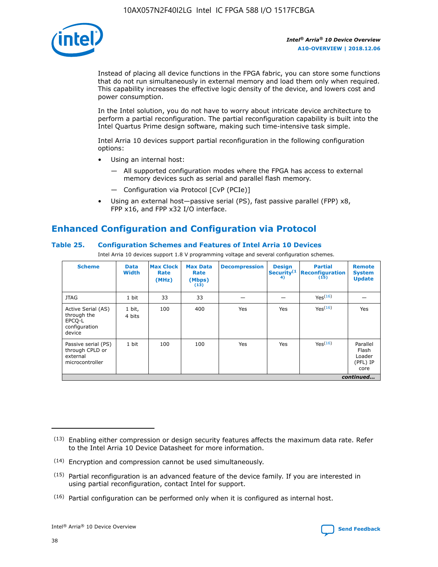

Instead of placing all device functions in the FPGA fabric, you can store some functions that do not run simultaneously in external memory and load them only when required. This capability increases the effective logic density of the device, and lowers cost and power consumption.

In the Intel solution, you do not have to worry about intricate device architecture to perform a partial reconfiguration. The partial reconfiguration capability is built into the Intel Quartus Prime design software, making such time-intensive task simple.

Intel Arria 10 devices support partial reconfiguration in the following configuration options:

- Using an internal host:
	- All supported configuration modes where the FPGA has access to external memory devices such as serial and parallel flash memory.
	- Configuration via Protocol [CvP (PCIe)]
- Using an external host—passive serial (PS), fast passive parallel (FPP) x8, FPP x16, and FPP x32 I/O interface.

# **Enhanced Configuration and Configuration via Protocol**

# **Table 25. Configuration Schemes and Features of Intel Arria 10 Devices**

Intel Arria 10 devices support 1.8 V programming voltage and several configuration schemes.

| <b>Scheme</b>                                                          | <b>Data</b><br><b>Width</b> | <b>Max Clock</b><br>Rate<br>(MHz) | <b>Max Data</b><br>Rate<br>(Mbps)<br>(13) | <b>Decompression</b> | <b>Design</b><br>Security <sup>(1</sup><br>4) | <b>Partial</b><br>Reconfiguration<br>(15) | <b>Remote</b><br><b>System</b><br><b>Update</b> |
|------------------------------------------------------------------------|-----------------------------|-----------------------------------|-------------------------------------------|----------------------|-----------------------------------------------|-------------------------------------------|-------------------------------------------------|
| <b>JTAG</b>                                                            | 1 bit                       | 33                                | 33                                        |                      |                                               | Yes(16)                                   |                                                 |
| Active Serial (AS)<br>through the<br>EPCO-L<br>configuration<br>device | 1 bit,<br>4 bits            | 100                               | 400                                       | Yes                  | Yes                                           | Yes(16)                                   | Yes                                             |
| Passive serial (PS)<br>through CPLD or<br>external<br>microcontroller  | 1 bit                       | 100                               | 100                                       | Yes                  | Yes                                           | Yes <sup>(16)</sup>                       | Parallel<br>Flash<br>Loader<br>(PFL) IP<br>core |
|                                                                        |                             |                                   |                                           |                      |                                               |                                           | continued                                       |

<sup>(13)</sup> Enabling either compression or design security features affects the maximum data rate. Refer to the Intel Arria 10 Device Datasheet for more information.

<sup>(14)</sup> Encryption and compression cannot be used simultaneously.

 $(15)$  Partial reconfiguration is an advanced feature of the device family. If you are interested in using partial reconfiguration, contact Intel for support.

 $(16)$  Partial configuration can be performed only when it is configured as internal host.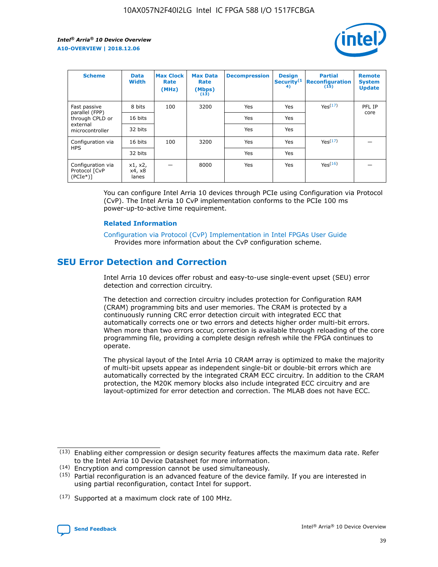

| <b>Scheme</b>                                   | <b>Data</b><br><b>Width</b> | <b>Max Clock</b><br>Rate<br>(MHz) | <b>Max Data</b><br>Rate<br>(Mbps)<br>(13) | <b>Decompression</b> | <b>Design</b><br>Security <sup>(1</sup><br>4) | <b>Partial</b><br><b>Reconfiguration</b><br>(15) | <b>Remote</b><br><b>System</b><br><b>Update</b> |
|-------------------------------------------------|-----------------------------|-----------------------------------|-------------------------------------------|----------------------|-----------------------------------------------|--------------------------------------------------|-------------------------------------------------|
| Fast passive                                    | 8 bits                      | 100                               | 3200                                      | Yes                  | Yes                                           | Yes(17)                                          | PFL IP                                          |
| parallel (FPP)<br>through CPLD or               | 16 bits                     |                                   |                                           | Yes                  | Yes                                           |                                                  | core                                            |
| external<br>microcontroller                     | 32 bits                     |                                   |                                           | Yes                  | Yes                                           |                                                  |                                                 |
| Configuration via                               | 16 bits                     | 100                               | 3200                                      | Yes                  | Yes                                           | Yes <sup>(17)</sup>                              |                                                 |
| <b>HPS</b>                                      | 32 bits                     |                                   |                                           | Yes                  | Yes                                           |                                                  |                                                 |
| Configuration via<br>Protocol [CvP<br>$(PCIe*)$ | x1, x2,<br>x4, x8<br>lanes  |                                   | 8000                                      | Yes                  | Yes                                           | Yes <sup>(16)</sup>                              |                                                 |

You can configure Intel Arria 10 devices through PCIe using Configuration via Protocol (CvP). The Intel Arria 10 CvP implementation conforms to the PCIe 100 ms power-up-to-active time requirement.

## **Related Information**

[Configuration via Protocol \(CvP\) Implementation in Intel FPGAs User Guide](https://www.intel.com/content/www/us/en/programmable/documentation/dsu1441819344145.html#dsu1442269728522) Provides more information about the CvP configuration scheme.

# **SEU Error Detection and Correction**

Intel Arria 10 devices offer robust and easy-to-use single-event upset (SEU) error detection and correction circuitry.

The detection and correction circuitry includes protection for Configuration RAM (CRAM) programming bits and user memories. The CRAM is protected by a continuously running CRC error detection circuit with integrated ECC that automatically corrects one or two errors and detects higher order multi-bit errors. When more than two errors occur, correction is available through reloading of the core programming file, providing a complete design refresh while the FPGA continues to operate.

The physical layout of the Intel Arria 10 CRAM array is optimized to make the majority of multi-bit upsets appear as independent single-bit or double-bit errors which are automatically corrected by the integrated CRAM ECC circuitry. In addition to the CRAM protection, the M20K memory blocks also include integrated ECC circuitry and are layout-optimized for error detection and correction. The MLAB does not have ECC.

(14) Encryption and compression cannot be used simultaneously.

<sup>(17)</sup> Supported at a maximum clock rate of 100 MHz.



 $(13)$  Enabling either compression or design security features affects the maximum data rate. Refer to the Intel Arria 10 Device Datasheet for more information.

 $(15)$  Partial reconfiguration is an advanced feature of the device family. If you are interested in using partial reconfiguration, contact Intel for support.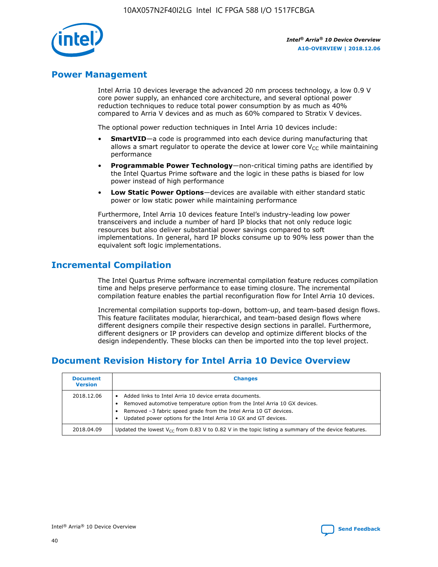

# **Power Management**

Intel Arria 10 devices leverage the advanced 20 nm process technology, a low 0.9 V core power supply, an enhanced core architecture, and several optional power reduction techniques to reduce total power consumption by as much as 40% compared to Arria V devices and as much as 60% compared to Stratix V devices.

The optional power reduction techniques in Intel Arria 10 devices include:

- **SmartVID**—a code is programmed into each device during manufacturing that allows a smart regulator to operate the device at lower core  $V_{CC}$  while maintaining performance
- **Programmable Power Technology**—non-critical timing paths are identified by the Intel Quartus Prime software and the logic in these paths is biased for low power instead of high performance
- **Low Static Power Options**—devices are available with either standard static power or low static power while maintaining performance

Furthermore, Intel Arria 10 devices feature Intel's industry-leading low power transceivers and include a number of hard IP blocks that not only reduce logic resources but also deliver substantial power savings compared to soft implementations. In general, hard IP blocks consume up to 90% less power than the equivalent soft logic implementations.

# **Incremental Compilation**

The Intel Quartus Prime software incremental compilation feature reduces compilation time and helps preserve performance to ease timing closure. The incremental compilation feature enables the partial reconfiguration flow for Intel Arria 10 devices.

Incremental compilation supports top-down, bottom-up, and team-based design flows. This feature facilitates modular, hierarchical, and team-based design flows where different designers compile their respective design sections in parallel. Furthermore, different designers or IP providers can develop and optimize different blocks of the design independently. These blocks can then be imported into the top level project.

# **Document Revision History for Intel Arria 10 Device Overview**

| <b>Document</b><br><b>Version</b> | <b>Changes</b>                                                                                                                                                                                                                                                              |
|-----------------------------------|-----------------------------------------------------------------------------------------------------------------------------------------------------------------------------------------------------------------------------------------------------------------------------|
| 2018.12.06                        | Added links to Intel Arria 10 device errata documents.<br>Removed automotive temperature option from the Intel Arria 10 GX devices.<br>Removed -3 fabric speed grade from the Intel Arria 10 GT devices.<br>Updated power options for the Intel Arria 10 GX and GT devices. |
| 2018.04.09                        | Updated the lowest $V_{CC}$ from 0.83 V to 0.82 V in the topic listing a summary of the device features.                                                                                                                                                                    |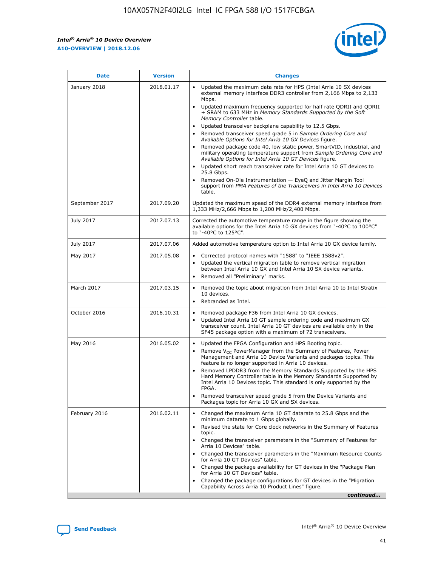*Intel® Arria® 10 Device Overview* **A10-OVERVIEW | 2018.12.06**



| <b>Date</b>    | <b>Version</b> | <b>Changes</b>                                                                                                                                                                                                                                                                                                                                                                                                                                                                                                                                                                                                                                                                                                                                                                                                                                                                                                                                                            |
|----------------|----------------|---------------------------------------------------------------------------------------------------------------------------------------------------------------------------------------------------------------------------------------------------------------------------------------------------------------------------------------------------------------------------------------------------------------------------------------------------------------------------------------------------------------------------------------------------------------------------------------------------------------------------------------------------------------------------------------------------------------------------------------------------------------------------------------------------------------------------------------------------------------------------------------------------------------------------------------------------------------------------|
| January 2018   | 2018.01.17     | Updated the maximum data rate for HPS (Intel Arria 10 SX devices<br>external memory interface DDR3 controller from 2,166 Mbps to 2,133<br>Mbps.<br>Updated maximum frequency supported for half rate QDRII and QDRII<br>+ SRAM to 633 MHz in Memory Standards Supported by the Soft<br>Memory Controller table.<br>Updated transceiver backplane capability to 12.5 Gbps.<br>$\bullet$<br>Removed transceiver speed grade 5 in Sample Ordering Core and<br>Available Options for Intel Arria 10 GX Devices figure.<br>Removed package code 40, low static power, SmartVID, industrial, and<br>military operating temperature support from Sample Ordering Core and<br>Available Options for Intel Arria 10 GT Devices figure.<br>Updated short reach transceiver rate for Intel Arria 10 GT devices to<br>25.8 Gbps.<br>Removed On-Die Instrumentation - EyeQ and Jitter Margin Tool<br>support from PMA Features of the Transceivers in Intel Arria 10 Devices<br>table. |
| September 2017 | 2017.09.20     | Updated the maximum speed of the DDR4 external memory interface from<br>1,333 MHz/2,666 Mbps to 1,200 MHz/2,400 Mbps.                                                                                                                                                                                                                                                                                                                                                                                                                                                                                                                                                                                                                                                                                                                                                                                                                                                     |
| July 2017      | 2017.07.13     | Corrected the automotive temperature range in the figure showing the<br>available options for the Intel Arria 10 GX devices from "-40°C to 100°C"<br>to "-40°C to 125°C".                                                                                                                                                                                                                                                                                                                                                                                                                                                                                                                                                                                                                                                                                                                                                                                                 |
| July 2017      | 2017.07.06     | Added automotive temperature option to Intel Arria 10 GX device family.                                                                                                                                                                                                                                                                                                                                                                                                                                                                                                                                                                                                                                                                                                                                                                                                                                                                                                   |
| May 2017       | 2017.05.08     | Corrected protocol names with "1588" to "IEEE 1588v2".<br>Updated the vertical migration table to remove vertical migration<br>between Intel Arria 10 GX and Intel Arria 10 SX device variants.<br>Removed all "Preliminary" marks.                                                                                                                                                                                                                                                                                                                                                                                                                                                                                                                                                                                                                                                                                                                                       |
| March 2017     | 2017.03.15     | Removed the topic about migration from Intel Arria 10 to Intel Stratix<br>10 devices.<br>Rebranded as Intel.<br>$\bullet$                                                                                                                                                                                                                                                                                                                                                                                                                                                                                                                                                                                                                                                                                                                                                                                                                                                 |
| October 2016   | 2016.10.31     | Removed package F36 from Intel Arria 10 GX devices.<br>Updated Intel Arria 10 GT sample ordering code and maximum GX<br>$\bullet$<br>transceiver count. Intel Arria 10 GT devices are available only in the<br>SF45 package option with a maximum of 72 transceivers.                                                                                                                                                                                                                                                                                                                                                                                                                                                                                                                                                                                                                                                                                                     |
| May 2016       | 2016.05.02     | Updated the FPGA Configuration and HPS Booting topic.<br>Remove V <sub>CC</sub> PowerManager from the Summary of Features, Power<br>Management and Arria 10 Device Variants and packages topics. This<br>feature is no longer supported in Arria 10 devices.<br>Removed LPDDR3 from the Memory Standards Supported by the HPS<br>Hard Memory Controller table in the Memory Standards Supported by<br>Intel Arria 10 Devices topic. This standard is only supported by the<br>FPGA.<br>Removed transceiver speed grade 5 from the Device Variants and<br>Packages topic for Arria 10 GX and SX devices.                                                                                                                                                                                                                                                                                                                                                                   |
| February 2016  | 2016.02.11     | Changed the maximum Arria 10 GT datarate to 25.8 Gbps and the<br>minimum datarate to 1 Gbps globally.<br>Revised the state for Core clock networks in the Summary of Features<br>$\bullet$<br>topic.<br>Changed the transceiver parameters in the "Summary of Features for<br>Arria 10 Devices" table.<br>• Changed the transceiver parameters in the "Maximum Resource Counts<br>for Arria 10 GT Devices" table.<br>• Changed the package availability for GT devices in the "Package Plan<br>for Arria 10 GT Devices" table.<br>Changed the package configurations for GT devices in the "Migration"<br>Capability Across Arria 10 Product Lines" figure.<br>continued                                                                                                                                                                                                                                                                                                  |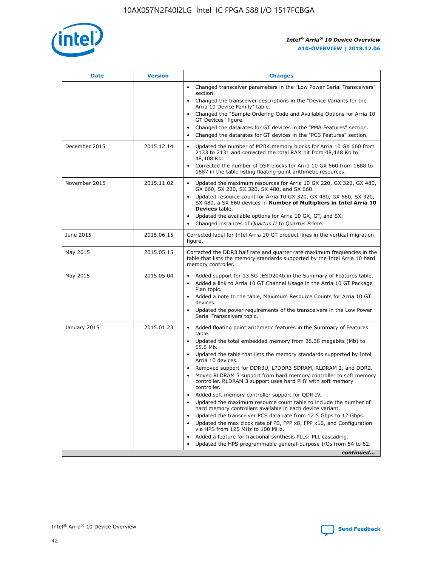

| <b>Date</b>   | <b>Version</b> | <b>Changes</b>                                                                                                                                                               |
|---------------|----------------|------------------------------------------------------------------------------------------------------------------------------------------------------------------------------|
|               |                | • Changed transceiver parameters in the "Low Power Serial Transceivers"<br>section.                                                                                          |
|               |                | • Changed the transceiver descriptions in the "Device Variants for the<br>Arria 10 Device Family" table.                                                                     |
|               |                | Changed the "Sample Ordering Code and Available Options for Arria 10<br>$\bullet$<br>GT Devices" figure.                                                                     |
|               |                | Changed the datarates for GT devices in the "PMA Features" section.                                                                                                          |
|               |                | Changed the datarates for GT devices in the "PCS Features" section.<br>$\bullet$                                                                                             |
| December 2015 | 2015.12.14     | Updated the number of M20K memory blocks for Arria 10 GX 660 from<br>2133 to 2131 and corrected the total RAM bit from 48,448 Kb to<br>48,408 Kb.                            |
|               |                | Corrected the number of DSP blocks for Arria 10 GX 660 from 1688 to<br>1687 in the table listing floating-point arithmetic resources.                                        |
| November 2015 | 2015.11.02     | Updated the maximum resources for Arria 10 GX 220, GX 320, GX 480,<br>$\bullet$<br>GX 660, SX 220, SX 320, SX 480, and SX 660.                                               |
|               |                | • Updated resource count for Arria 10 GX 320, GX 480, GX 660, SX 320,<br>SX 480, a SX 660 devices in Number of Multipliers in Intel Arria 10<br><b>Devices</b> table.        |
|               |                | Updated the available options for Arria 10 GX, GT, and SX.                                                                                                                   |
|               |                | Changed instances of Quartus II to Quartus Prime.<br>$\bullet$                                                                                                               |
| June 2015     | 2015.06.15     | Corrected label for Intel Arria 10 GT product lines in the vertical migration<br>figure.                                                                                     |
| May 2015      | 2015.05.15     | Corrected the DDR3 half rate and quarter rate maximum frequencies in the<br>table that lists the memory standards supported by the Intel Arria 10 hard<br>memory controller. |
| May 2015      | 2015.05.04     | • Added support for 13.5G JESD204b in the Summary of Features table.                                                                                                         |
|               |                | • Added a link to Arria 10 GT Channel Usage in the Arria 10 GT Package<br>Plan topic.                                                                                        |
|               |                | • Added a note to the table, Maximum Resource Counts for Arria 10 GT<br>devices.                                                                                             |
|               |                | • Updated the power requirements of the transceivers in the Low Power<br>Serial Transceivers topic.                                                                          |
| January 2015  | 2015.01.23     | • Added floating point arithmetic features in the Summary of Features<br>table.                                                                                              |
|               |                | • Updated the total embedded memory from 38.38 megabits (Mb) to<br>65.6 Mb.                                                                                                  |
|               |                | • Updated the table that lists the memory standards supported by Intel<br>Arria 10 devices.                                                                                  |
|               |                | Removed support for DDR3U, LPDDR3 SDRAM, RLDRAM 2, and DDR2.                                                                                                                 |
|               |                | Moved RLDRAM 3 support from hard memory controller to soft memory<br>controller. RLDRAM 3 support uses hard PHY with soft memory<br>controller.                              |
|               |                | Added soft memory controller support for QDR IV.<br>٠                                                                                                                        |
|               |                | Updated the maximum resource count table to include the number of<br>hard memory controllers available in each device variant.                                               |
|               |                | Updated the transceiver PCS data rate from 12.5 Gbps to 12 Gbps.<br>$\bullet$                                                                                                |
|               |                | Updated the max clock rate of PS, FPP x8, FPP x16, and Configuration<br>via HPS from 125 MHz to 100 MHz.                                                                     |
|               |                | Added a feature for fractional synthesis PLLs: PLL cascading.                                                                                                                |
|               |                | Updated the HPS programmable general-purpose I/Os from 54 to 62.<br>$\bullet$                                                                                                |
|               |                | continued                                                                                                                                                                    |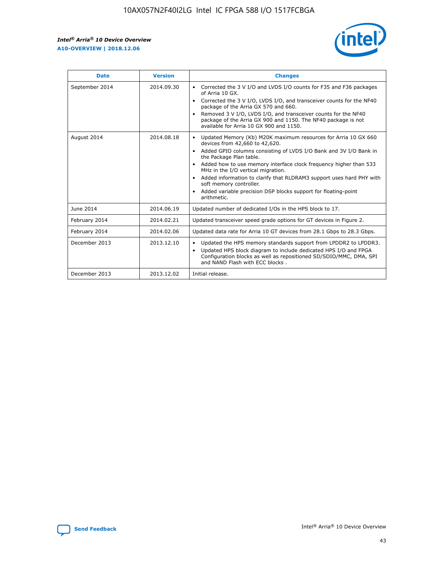r



| <b>Date</b>    | <b>Version</b> | <b>Changes</b>                                                                                                                                                                                                                                                                                                                                                                                                                                                                                                                         |
|----------------|----------------|----------------------------------------------------------------------------------------------------------------------------------------------------------------------------------------------------------------------------------------------------------------------------------------------------------------------------------------------------------------------------------------------------------------------------------------------------------------------------------------------------------------------------------------|
| September 2014 | 2014.09.30     | Corrected the 3 V I/O and LVDS I/O counts for F35 and F36 packages<br>of Arria 10 GX.<br>Corrected the 3 V I/O, LVDS I/O, and transceiver counts for the NF40<br>$\bullet$<br>package of the Arria GX 570 and 660.<br>Removed 3 V I/O, LVDS I/O, and transceiver counts for the NF40<br>package of the Arria GX 900 and 1150. The NF40 package is not<br>available for Arria 10 GX 900 and 1150.                                                                                                                                       |
| August 2014    | 2014.08.18     | Updated Memory (Kb) M20K maximum resources for Arria 10 GX 660<br>devices from 42,660 to 42,620.<br>Added GPIO columns consisting of LVDS I/O Bank and 3V I/O Bank in<br>$\bullet$<br>the Package Plan table.<br>Added how to use memory interface clock frequency higher than 533<br>$\bullet$<br>MHz in the I/O vertical migration.<br>Added information to clarify that RLDRAM3 support uses hard PHY with<br>$\bullet$<br>soft memory controller.<br>Added variable precision DSP blocks support for floating-point<br>arithmetic. |
| June 2014      | 2014.06.19     | Updated number of dedicated I/Os in the HPS block to 17.                                                                                                                                                                                                                                                                                                                                                                                                                                                                               |
| February 2014  | 2014.02.21     | Updated transceiver speed grade options for GT devices in Figure 2.                                                                                                                                                                                                                                                                                                                                                                                                                                                                    |
| February 2014  | 2014.02.06     | Updated data rate for Arria 10 GT devices from 28.1 Gbps to 28.3 Gbps.                                                                                                                                                                                                                                                                                                                                                                                                                                                                 |
| December 2013  | 2013.12.10     | Updated the HPS memory standards support from LPDDR2 to LPDDR3.<br>Updated HPS block diagram to include dedicated HPS I/O and FPGA<br>$\bullet$<br>Configuration blocks as well as repositioned SD/SDIO/MMC, DMA, SPI<br>and NAND Flash with ECC blocks.                                                                                                                                                                                                                                                                               |
| December 2013  | 2013.12.02     | Initial release.                                                                                                                                                                                                                                                                                                                                                                                                                                                                                                                       |